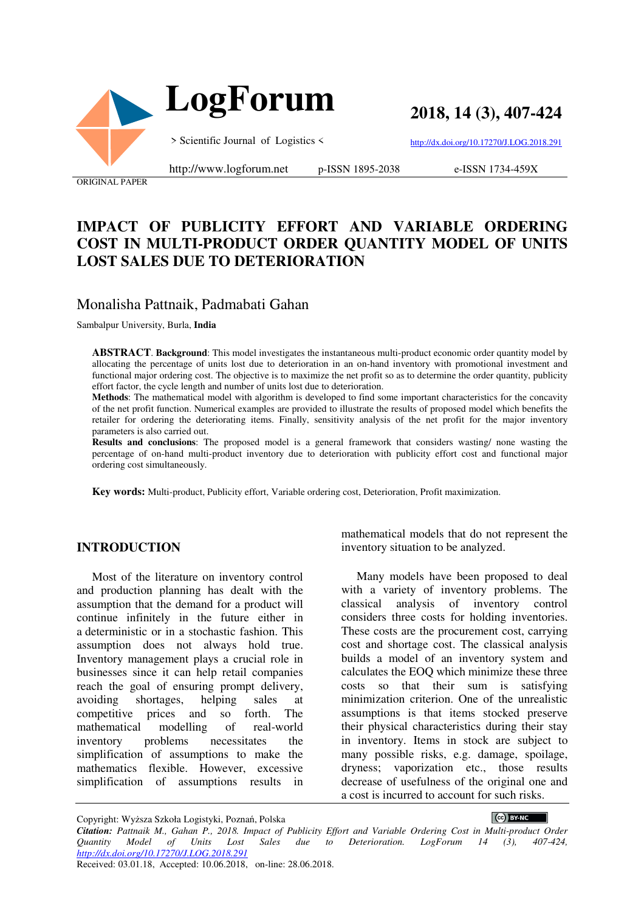

**2018, 14 (3), 407-424**

> Scientific Journal of Logistics <

http://dx.doi.org/10.17270/J.LOG.2018.291

ORIGINAL PAPER

http://www.logforum.net p-ISSN 1895-2038

e-ISSN 1734-459X

# **IMPACT OF PUBLICITY EFFORT AND VARIABLE ORDERING COST IN MULTI-PRODUCT ORDER QUANTITY MODEL OF UNITS LOST SALES DUE TO DETERIORATION**

### Monalisha Pattnaik, Padmabati Gahan

Sambalpur University, Burla, **India** 

**ABSTRACT**. **Background**: This model investigates the instantaneous multi-product economic order quantity model by allocating the percentage of units lost due to deterioration in an on-hand inventory with promotional investment and functional major ordering cost. The objective is to maximize the net profit so as to determine the order quantity, publicity effort factor, the cycle length and number of units lost due to deterioration.

**Methods**: The mathematical model with algorithm is developed to find some important characteristics for the concavity of the net profit function. Numerical examples are provided to illustrate the results of proposed model which benefits the retailer for ordering the deteriorating items. Finally, sensitivity analysis of the net profit for the major inventory parameters is also carried out.

**Results and conclusions**: The proposed model is a general framework that considers wasting/ none wasting the percentage of on-hand multi-product inventory due to deterioration with publicity effort cost and functional major ordering cost simultaneously.

**Key words:** Multi-product, Publicity effort, Variable ordering cost, Deterioration, Profit maximization.

### **INTRODUCTION**

Most of the literature on inventory control and production planning has dealt with the assumption that the demand for a product will continue infinitely in the future either in a deterministic or in a stochastic fashion. This assumption does not always hold true. Inventory management plays a crucial role in businesses since it can help retail companies reach the goal of ensuring prompt delivery, avoiding shortages, helping sales at competitive prices and so forth. The mathematical modelling of real-world inventory problems necessitates the simplification of assumptions to make the mathematics flexible. However, excessive simplification of assumptions results in

mathematical models that do not represent the inventory situation to be analyzed.

Many models have been proposed to deal with a variety of inventory problems. The classical analysis of inventory control considers three costs for holding inventories. These costs are the procurement cost, carrying cost and shortage cost. The classical analysis builds a model of an inventory system and calculates the EOQ which minimize these three costs so that their sum is satisfying minimization criterion. One of the unrealistic assumptions is that items stocked preserve their physical characteristics during their stay in inventory. Items in stock are subject to many possible risks, e.g. damage, spoilage, dryness; vaporization etc., those results decrease of usefulness of the original one and a cost is incurred to account for such risks.

 $\left(\text{cc}\right)$  BY-NC

Copyright: Wyższa Szkoła Logistyki, Poznań, Polska

*Citation: Pattnaik M., Gahan P., 2018. Impact of Publicity Effort and Variable Ordering Cost in Multi-product Order Quantity Model of Units Lost Sales due to Deterioration. LogForum 14 (3), 407-424, http://dx.doi.org/10.17270/J.LOG.2018.291* 

Received: 03.01.18, Accepted: 10.06.2018, on-line: 28.06.2018.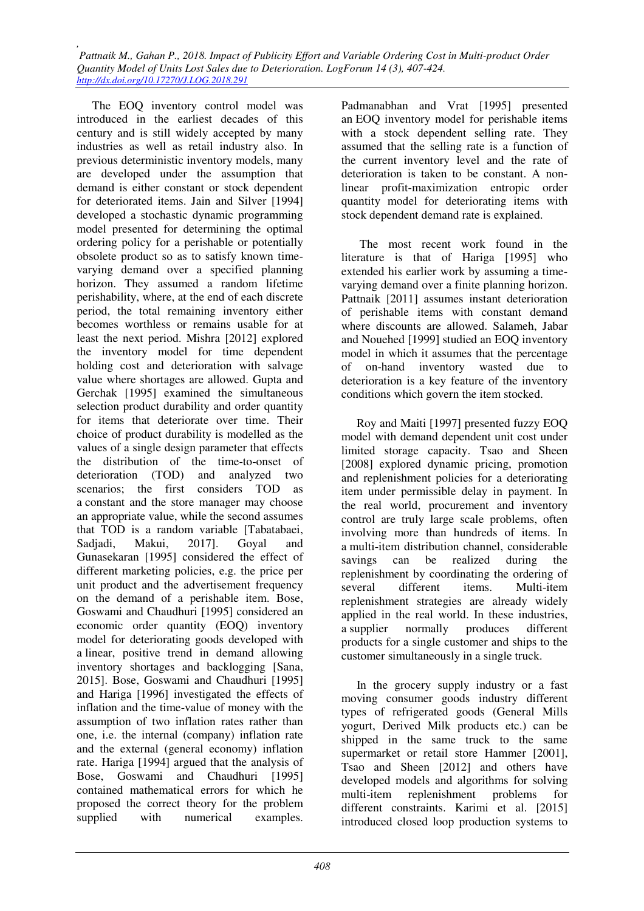The EOQ inventory control model was introduced in the earliest decades of this century and is still widely accepted by many industries as well as retail industry also. In previous deterministic inventory models, many are developed under the assumption that demand is either constant or stock dependent for deteriorated items. Jain and Silver [1994] developed a stochastic dynamic programming model presented for determining the optimal ordering policy for a perishable or potentially obsolete product so as to satisfy known timevarying demand over a specified planning horizon. They assumed a random lifetime perishability, where, at the end of each discrete period, the total remaining inventory either becomes worthless or remains usable for at least the next period. Mishra [2012] explored the inventory model for time dependent holding cost and deterioration with salvage value where shortages are allowed. Gupta and Gerchak [1995] examined the simultaneous selection product durability and order quantity for items that deteriorate over time. Their choice of product durability is modelled as the values of a single design parameter that effects the distribution of the time-to-onset of deterioration (TOD) and analyzed two scenarios; the first considers TOD as a constant and the store manager may choose an appropriate value, while the second assumes that TOD is a random variable [Tabatabaei, Sadiadi, Makui, 2017]. Goyal and Gunasekaran [1995] considered the effect of different marketing policies, e.g. the price per unit product and the advertisement frequency on the demand of a perishable item. Bose, Goswami and Chaudhuri [1995] considered an economic order quantity (EOQ) inventory model for deteriorating goods developed with a linear, positive trend in demand allowing inventory shortages and backlogging [Sana, 2015]. Bose, Goswami and Chaudhuri [1995] and Hariga [1996] investigated the effects of inflation and the time-value of money with the assumption of two inflation rates rather than one, i.e. the internal (company) inflation rate and the external (general economy) inflation rate. Hariga [1994] argued that the analysis of Bose, Goswami and Chaudhuri [1995] contained mathematical errors for which he proposed the correct theory for the problem supplied with numerical examples.

Padmanabhan and Vrat [1995] presented an EOQ inventory model for perishable items with a stock dependent selling rate. They assumed that the selling rate is a function of the current inventory level and the rate of deterioration is taken to be constant. A nonlinear profit-maximization entropic order quantity model for deteriorating items with stock dependent demand rate is explained.

 The most recent work found in the literature is that of Hariga [1995] who extended his earlier work by assuming a timevarying demand over a finite planning horizon. Pattnaik [2011] assumes instant deterioration of perishable items with constant demand where discounts are allowed. Salameh, Jabar and Nouehed [1999] studied an EOQ inventory model in which it assumes that the percentage of on-hand inventory wasted due to deterioration is a key feature of the inventory conditions which govern the item stocked.

Roy and Maiti [1997] presented fuzzy EOQ model with demand dependent unit cost under limited storage capacity. Tsao and Sheen [2008] explored dynamic pricing, promotion and replenishment policies for a deteriorating item under permissible delay in payment. In the real world, procurement and inventory control are truly large scale problems, often involving more than hundreds of items. In a multi-item distribution channel, considerable savings can be realized during the replenishment by coordinating the ordering of several different items. Multi-item replenishment strategies are already widely applied in the real world. In these industries, a supplier normally produces different products for a single customer and ships to the customer simultaneously in a single truck.

In the grocery supply industry or a fast moving consumer goods industry different types of refrigerated goods (General Mills yogurt, Derived Milk products etc.) can be shipped in the same truck to the same supermarket or retail store Hammer [2001], Tsao and Sheen [2012] and others have developed models and algorithms for solving multi-item replenishment problems for different constraints. Karimi et al. [2015] introduced closed loop production systems to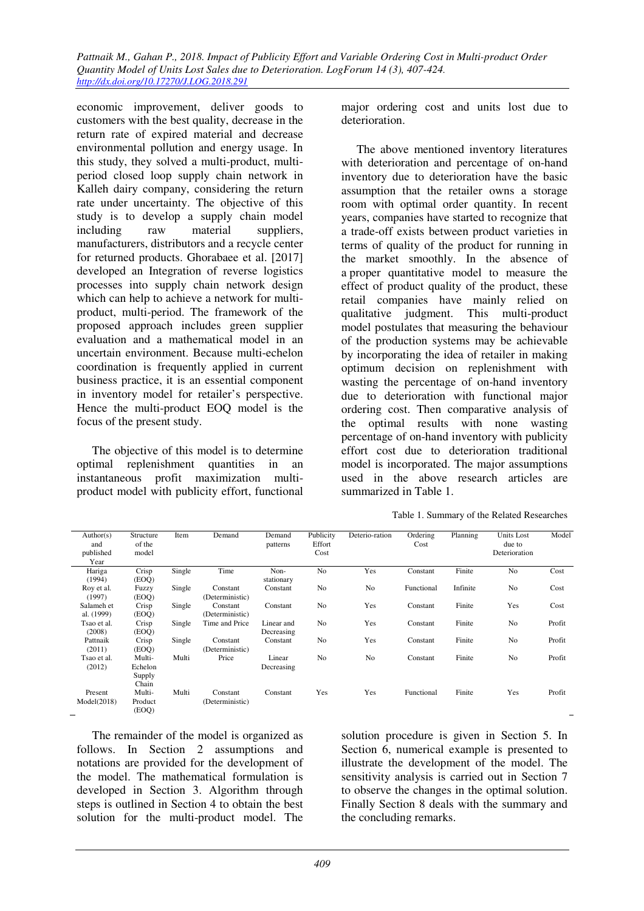economic improvement, deliver goods to customers with the best quality, decrease in the return rate of expired material and decrease environmental pollution and energy usage. In this study, they solved a multi-product, multiperiod closed loop supply chain network in Kalleh dairy company, considering the return rate under uncertainty. The objective of this study is to develop a supply chain model including raw material suppliers, manufacturers, distributors and a recycle center for returned products. Ghorabaee et al. [2017] developed an Integration of reverse logistics processes into supply chain network design which can help to achieve a network for multiproduct, multi-period. The framework of the proposed approach includes green supplier evaluation and a mathematical model in an uncertain environment. Because multi-echelon coordination is frequently applied in current business practice, it is an essential component in inventory model for retailer's perspective. Hence the multi-product EOQ model is the focus of the present study.

The objective of this model is to determine optimal replenishment quantities in an instantaneous profit maximization multiproduct model with publicity effort, functional major ordering cost and units lost due to deterioration.

The above mentioned inventory literatures with deterioration and percentage of on-hand inventory due to deterioration have the basic assumption that the retailer owns a storage room with optimal order quantity. In recent years, companies have started to recognize that a trade-off exists between product varieties in terms of quality of the product for running in the market smoothly. In the absence of a proper quantitative model to measure the effect of product quality of the product, these retail companies have mainly relied on qualitative judgment. This multi-product model postulates that measuring the behaviour of the production systems may be achievable by incorporating the idea of retailer in making optimum decision on replenishment with wasting the percentage of on-hand inventory due to deterioration with functional major ordering cost. Then comparative analysis of the optimal results with none wasting percentage of on-hand inventory with publicity effort cost due to deterioration traditional model is incorporated. The major assumptions used in the above research articles are summarized in Table 1.

Table 1. Summary of the Related Researches

| Author(s)   | Structure | Item   | Demand          | Demand     | Publicity      | Deterio-ration | Ordering   | Planning | Units Lost     | Model  |
|-------------|-----------|--------|-----------------|------------|----------------|----------------|------------|----------|----------------|--------|
| and         | of the    |        |                 | patterns   | Effort         |                | Cost       |          | due to         |        |
| published   | model     |        |                 |            | Cost           |                |            |          | Deterioration  |        |
| Year        |           |        |                 |            |                |                |            |          |                |        |
| Hariga      | Crisp     | Single | Time            | Non-       | N <sub>0</sub> | Yes            | Constant   | Finite   | N <sub>o</sub> | Cost   |
| (1994)      | (EOQ)     |        |                 | stationary |                |                |            |          |                |        |
| Roy et al.  | Fuzzy     | Single | Constant        | Constant   | N <sub>0</sub> | N <sub>0</sub> | Functional | Infinite | N <sub>0</sub> | Cost   |
| (1997)      | (EOQ)     |        | (Deterministic) |            |                |                |            |          |                |        |
| Salameh et  | Crisp     | Single | Constant        | Constant   | N <sub>0</sub> | Yes            | Constant   | Finite   | Yes            | Cost   |
| al. (1999)  | (EOQ)     |        | (Deterministic) |            |                |                |            |          |                |        |
| Tsao et al. | Crisp     | Single | Time and Price  | Linear and | N <sub>0</sub> | Yes            | Constant   | Finite   | N <sub>o</sub> | Profit |
| (2008)      | (EOQ)     |        |                 | Decreasing |                |                |            |          |                |        |
| Pattnaik    | Crisp     | Single | Constant        | Constant   | N <sub>0</sub> | Yes            | Constant   | Finite   | No             | Profit |
| (2011)      | (EOQ)     |        | (Deterministic) |            |                |                |            |          |                |        |
| Tsao et al. | Multi-    | Multi  | Price           | Linear     | No             | No             | Constant   | Finite   | N <sub>0</sub> | Profit |
| (2012)      | Echelon   |        |                 | Decreasing |                |                |            |          |                |        |
|             | Supply    |        |                 |            |                |                |            |          |                |        |
|             | Chain     |        |                 |            |                |                |            |          |                |        |
| Present     | Multi-    | Multi  | Constant        | Constant   | Yes            | Yes            | Functional | Finite   | Yes            | Profit |
| Model(2018) | Product   |        | (Deterministic) |            |                |                |            |          |                |        |
|             | (EOQ)     |        |                 |            |                |                |            |          |                |        |

The remainder of the model is organized as follows. In Section 2 assumptions and notations are provided for the development of the model. The mathematical formulation is developed in Section 3. Algorithm through steps is outlined in Section 4 to obtain the best solution for the multi-product model. The

solution procedure is given in Section 5. In Section 6, numerical example is presented to illustrate the development of the model. The sensitivity analysis is carried out in Section 7 to observe the changes in the optimal solution. Finally Section 8 deals with the summary and the concluding remarks.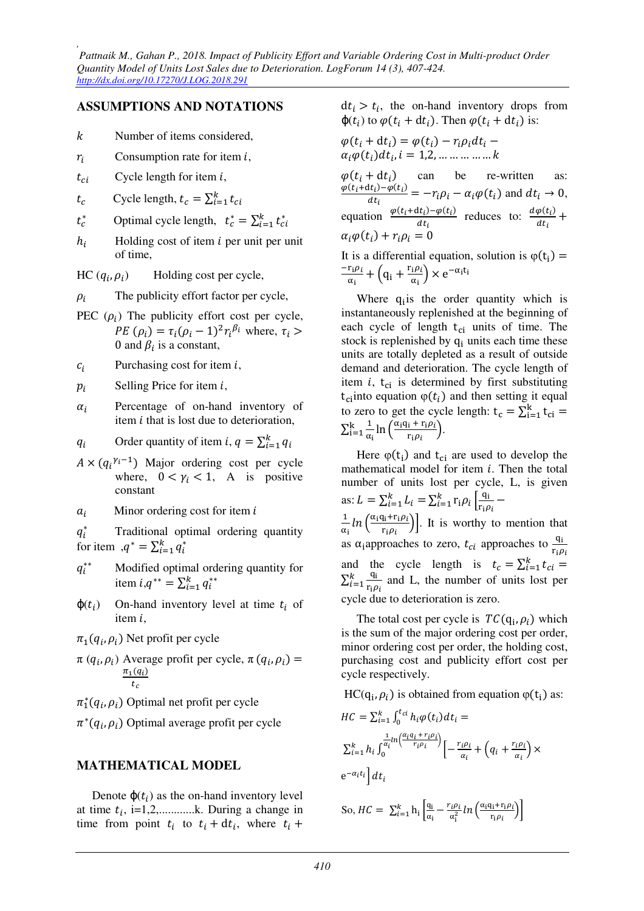### **ASSUMPTIONS AND NOTATIONS**

- Number of items considered,
- $r_i$ Consumption rate for item  $i$ ,
- $t_{ci}$  Cycle length for item *i*,
- $t_c$ Cycle length,  $t_c = \sum_{i=1}^{k} t_{ci}$
- $t_c^*$ Optimal cycle length,  $t_c^* = \sum_{i=1}^k t_{ci}^*$
- $h_i$ Holding cost of item  $i$  per unit per unit of time,

 $HC (q_i, \rho_i)$ ) Holding cost per cycle,

- $\rho_i$ The publicity effort factor per cycle,
- PEC  $(\rho_i)$  The publicity effort cost per cycle, *PE*  $(\rho_i) = \tau_i (\rho_i - 1)^2 r_i^{\beta_i}$  where,  $\tau_i >$ 0 and  $\beta_i$  is a constant,
- $c_i$ Purchasing cost for item  $i$ ,

 $p_i$ Selling Price for item  $i$ .

- $\alpha_i$  Percentage of on-hand inventory of item  $i$  that is lost due to deterioration,
- $q_i$ Order quantity of item *i*,  $q = \sum_{i=1}^{k} q_i$
- $A \times (q_i^{\gamma_i-1})$  Major ordering cost per cycle where,  $0 < \gamma_i < 1$ , A is positive constant
- $a_i$ Minor ordering cost for item  $i$

 $q_i^*$  Traditional optimal ordering quantity for item  $, q^* = \sum_{i=1}^k q_i^*$ 

- $q_i^{**}$ ∗∗ Modified optimal ordering quantity for item  $i, q^{**} = \sum_{i=1}^{k} q_i^{**}$
- $\varphi(t_i)$ ) On-hand inventory level at time  $t_i$  of item  $i$ ,
- $\pi_1(q_i,\rho_i)$  Net profit per cycle
- $\pi (q_i, \rho_i)$  Average profit per cycle,  $\pi (q_i, \rho_i) =$  $\pi_1(q_i)$  $t_c$
- $\pi_1^*(q_i, \rho_i)$  Optimal net profit per cycle
- $\pi^*(q_i, \rho_i)$  Optimal average profit per cycle

### **MATHEMATICAL MODEL**

Denote  $\varphi(t_i)$  as the on-hand inventory level at time  $t_i$ , i=1,2,...........k. During a change in time from point  $t_i$  to  $t_i + dt_i$ , where  $t_i +$ 

 $dt_i > t_i$ , the on-hand inventory drops from  $\varphi(t_i)$  to  $\varphi(t_i + dt_i)$ . Then  $\varphi(t_i + dt_i)$  is:

$$
\varphi(t_i + dt_i) = \varphi(t_i) - r_i \rho_i dt_i -
$$
  
\n
$$
\alpha_i \varphi(t_i) dt_i, i = 1, 2, \dots \dots \dots \dots \dots k
$$

 $\varphi(t_i + dt_i)$ ) can be re-written as:  $\varphi(t_i+dt_i)-\varphi(t_i)$  $\frac{d_{ij} - \varphi(t_i)}{dt_i} = -r_i \rho_i - \alpha_i \varphi(t_i)$  and  $dt_i \to 0$ , equation  $\frac{\varphi(t_i+dt_i)-\varphi(t_i)}{dt}$  $\frac{dt_i - \varphi(t_i)}{dt_i}$  reduces to:  $\frac{d\varphi(t_i)}{dt_i}$  $\frac{\partial u}{\partial t_i}$  +  $\alpha_i \varphi(t_i) + r_i \rho_i = 0$ 

It is a differential equation, solution is  $\varphi(t_i)$  =  $-r_i\rho_i$  $rac{\mathbf{r_i}\rho_i}{\alpha_i} + \left(\mathbf{q_i} + \frac{\mathbf{r_i}\rho_i}{\alpha_i}\right)$  $\frac{\partial^2 u}{\partial x_i}$   $\times e^{-\alpha_i t_i}$ 

Where  $q_i$  is the order quantity which is instantaneously replenished at the beginning of each cycle of length  $t_{ci}$  units of time. The stock is replenished by  $q_i$  units each time these units are totally depleted as a result of outside demand and deterioration. The cycle length of item  $i$ ,  $t_{ci}$  is determined by first substituting  $t_{\text{ci}}$ into equation  $\varphi(t_i)$  and then setting it equal to zero to get the cycle length:  $t_c = \sum_{i=1}^{k} t_{ci} =$  $\sum_{i=1}^k \frac{1}{\alpha}$  $\frac{1}{\alpha_i}$ ln  $\left(\frac{\alpha_i q_i + r_i \rho_i}{r_i \rho_i}\right)$  $\frac{k}{i=1} \frac{1}{\alpha_i} \ln \left( \frac{\alpha_i q_i + r_i \rho_i}{r_i \rho_i} \right).$ 

Here  $\varphi(t_i)$  and  $t_{ci}$  are used to develop the mathematical model for item  $i$ . Then the total number of units lost per cycle, L, is given as:  $L = \sum_{i=1}^{k} L_i = \sum_{i=1}^{k} r_i \rho_i \left| \frac{q_i}{r_i \rho_i} \right|$  $_{i=1}^k$   $\Gamma_i \rho_i \left| \frac{q_i}{r_i \rho_i} - \right|$  $\mathbf{1}$  $\frac{1}{\alpha_i} ln \left( \frac{\alpha_i q_i + r_i \rho_i}{r_i \rho_i} \right)$ . It is worthy to mention that as  $\alpha_i$ approaches to zero,  $t_{ci}$  approaches to  $\frac{q_i}{r_i \rho_i}$ and the cycle length is  $t_c = \sum_{i=1}^{k} t_{ci}$  $\sum_{i=1}^k \frac{q_i}{r}$  $r_i \rho_i$  $\frac{k}{i=1}$   $\frac{q_i}{r_i \rho_i}$  and L, the number of units lost per cycle due to deterioration is zero.

The total cost per cycle is  $TC(q_i, \rho_i)$  which is the sum of the major ordering cost per order, minor ordering cost per order, the holding cost, purchasing cost and publicity effort cost per cycle respectively.

 $HC(q_i, \rho_i)$  is obtained from equation  $\varphi(t_i)$  as:

$$
HC = \sum_{i=1}^{k} \int_{0}^{t_{ci}} h_i \varphi(t_i) dt_i =
$$
  

$$
\sum_{i=1}^{k} h_i \int_{0}^{\frac{1}{\alpha_i} \ln\left(\frac{\alpha_i q_i + r_i \rho_i}{r_i \rho_i}\right)} \left[-\frac{r_i \rho_i}{\alpha_i} + \left(q_i + \frac{r_i \rho_i}{\alpha_i}\right) \times\right]
$$
  

$$
e^{-\alpha_i t_i} dt_i
$$

So, 
$$
HC = \sum_{i=1}^{k} h_i \left[ \frac{q_i}{\alpha_i} - \frac{r_i \rho_i}{\alpha_i^2} ln \left( \frac{\alpha_i q_i + r_i \rho_i}{r_i \rho_i} \right) \right]
$$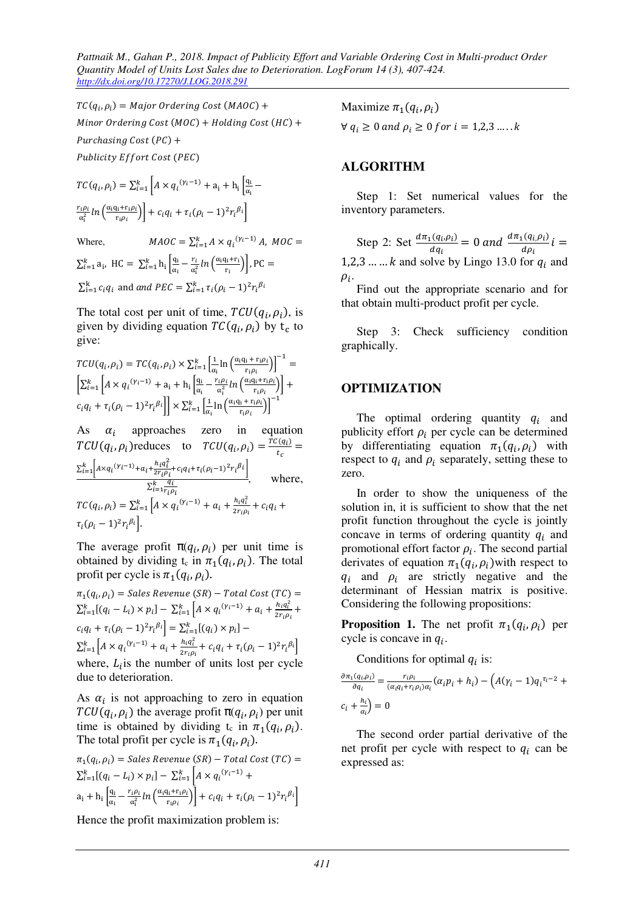*Pattnaik M., Gahan P., 2018. Impact of Publicity Effort and Variable Ordering Cost in Multi-product Order Quantity Model of Units Lost Sales due to Deterioration. LogForum 14 (3), 407-424. http://dx.doi.org/10.17270/J.LOG.2018.291* 

 $TC(q_i, \rho_i) = Major~Ordering~Cost~(MAOC) +$  $Minor$   $Ordering$   $Cost$   $(MOC) + Holding$   $Cost$   $(HC) +$ Purchasing Cost (PC) + Publicity Effort Cost (PEC)

$$
TC(q_i, \rho_i) = \sum_{i=1}^k \left[ A \times q_i^{(\gamma_i - 1)} + a_i + h_i \left[ \frac{q_i}{\alpha_i} - \frac{r_i \rho_i}{\alpha_i^2} \ln \left( \frac{\alpha_i q_i + r_i \rho_i}{r_i \rho_i} \right) \right] + c_i q_i + \tau_i (\rho_i - 1)^2 r_i^{\beta_i} \right]
$$

Where,  $MAOC = \sum_{i=1}^{k} A \times q_i^{(\gamma_i - 1)} A$ ,  $MOC =$ 

 $\sum_{i=1}^{k} a_i$ , HC =  $\sum_{i=1}^{k} h_i \left| \frac{q_i}{\alpha_i} \right|$  $\frac{q_i}{\alpha_i} - \frac{r_i}{\alpha_i^2}$  $\sum_{i=1}^{k} a_i$ , HC =  $\sum_{i=1}^{k} h_i \left[ \frac{q_i}{\alpha_i} - \frac{r_i}{\alpha_i^2} ln \left( \frac{\alpha_i q_i + r_i}{r_i} \right) \right]$ , PC =  $\sum_{i=1}^{k} c_i q_i$  and and PEC =  $\sum_{i=1}^{k} \tau_i (\rho_i - 1)^2 r_i^{\beta_i}$ 

The total cost per unit of time,  $TCU(q_i, \rho_i)$ , is given by dividing equation  $TC(q_i, \rho_i)$  by  $t_c$  to give:

$$
TCU(q_i, \rho_i) = TC(q_i, \rho_i) \times \sum_{i=1}^k \left[ \frac{1}{\alpha_i} \ln \left( \frac{\alpha_i q_i + r_i \rho_i}{r_i \rho_i} \right) \right]^{-1} =
$$
  

$$
\left[ \sum_{i=1}^k \left[ A \times q_i^{(\gamma_i - 1)} + a_i + h_i \left[ \frac{q_i}{\alpha_i} - \frac{r_i \rho_i}{\alpha_i^2} \ln \left( \frac{\alpha_i q_i + r_i \rho_i}{r_i \rho_i} \right) \right] + c_i q_i + \tau_i (\rho_i - 1)^2 r_i^{\beta_i} \right] \right] \times \sum_{i=1}^k \left[ \frac{1}{\alpha_i} \ln \left( \frac{\alpha_i q_i + r_i \rho_i}{r_i \rho_i} \right) \right]^{-1}
$$

As  $\alpha_i$  approaches zero in equation  $TCU(q_i, \rho_i)$ reduces to  $TCU(q_i, \rho_i) = \frac{TC(q_i)}{t_c}$  $\frac{dE}{dt_c}$  =  $\sum_{i=1}^{k} \left[ A \times q_i (Y_i - 1) + a_i + \frac{h_i q_i^2}{2 r_i \rho_i} \right]$  $\sum_{i=1}^k \left[ A \times q_i^{(Y_i-1)} + a_i + \frac{n_i q_i}{2r_i \rho_i} + c_i q_i + \tau_i (\rho_i - 1)^2 r_i^{\beta_i} \right]$  $\sum_{i=1}^k \frac{q_i}{r \cdot c}$  $\frac{u_i}{i=1}$ , where,  $TC(q_i, \rho_i) = \sum_{i=1}^{k} \left[ A \times q_i^{(\gamma_i - 1)} + a_i + \frac{h_i q_i^2}{2r_i q_i} \right]$  $\int_{i=1}^{k} [A \times q_i^{(\gamma_i-1)} + a_i + \frac{n_i q_i}{2 r_i \rho_i} + c_i q_i +$  $\tau_i(\rho_i-1)^2r_i^{\beta_i}$ .

The average profit  $\pi(q_i, \rho_i)$  per unit time is obtained by dividing  $t_c$  in  $\pi_1(q_i, \rho_i)$ . The total profit per cycle is  $\pi_1(q_i, \rho_i)$ .

 $\pi_1(q_i,\rho_i) =$  Sales Revenue (SR) – Total Cost (TC) =  $\sum_{i=1}^{k} [(q_i - L_i) \times p_i] - \sum_{i=1}^{k} [A \times q_i^{(y_i-1)} + a_i + \frac{h_i q_i^2}{2r_i q_i}]$  $\int_{i=1}^{k} [A \times q_i^{(\gamma_i-1)} + a_i + \frac{n_i q_i}{2 r_i \rho_i} +$  $c_i q_i + \tau_i (\rho_i - 1)^2 r_i^{\beta_i} = \sum_{i=1}^k [(q_i) \times p_i] \sum_{i=1}^{k} \left[ A \times q_i^{(\gamma_i - 1)} + a_i + \frac{h_i q_i^2}{2r_i q_i} \right]$  $\int_{i=1}^{k} \left[ A \times q_i^{(V_i-1)} + a_i + \frac{n_i q_i}{2r_i \rho_i} + c_i q_i + \tau_i (\rho_i - 1)^2 r_i^{\beta_i} \right]$ where,  $L_i$  is the number of units lost per cycle due to deterioration.

As  $\alpha_i$  is not approaching to zero in equation  $TCU(q_i, \rho_i)$  the average profit  $\pi(q_i, \rho_i)$  per unit time is obtained by dividing t<sub>c</sub> in  $\pi_1(q_i, \rho_i)$ . The total profit per cycle is  $\pi_1(q_i, \rho_i)$ .

$$
\pi_1(q_i, \rho_i) = Sales\,\, Revenue\,\, (SR) - Total\,\,Cost\,\, (TC) =
$$
\n
$$
\sum_{i=1}^k [(q_i - L_i) \times p_i] - \sum_{i=1}^k \left[ A \times q_i^{(\gamma_i - 1)} + a_i + h_i \left[ \frac{q_i}{\alpha_i} - \frac{r_i \rho_i}{\alpha_i^2} \ln \left( \frac{\alpha_i q_i + r_i \rho_i}{r_i \rho_i} \right) \right] + c_i q_i + \tau_i (\rho_i - 1)^2 r_i^{\beta_i} \right]
$$

Hence the profit maximization problem is:

Maximize  $\pi_1(q_i, \rho_i)$ 

 $\forall q_i \geq 0 \text{ and } \rho_i \geq 0 \text{ for } i = 1,2,3 \dots k$ 

### **ALGORITHM**

Step 1: Set numerical values for the inventory parameters.

Step 2: Set  $\frac{d\pi_1(q_i,\rho_i)}{dq}$  $\frac{d(a_i,\rho_i)}{d\sigma_i} = 0$  and  $\frac{d\pi_1(a_i,\rho_i)}{d\rho_i}$  $\frac{d}{d\rho_i} i =$ 1,2,3 ... ...  $k$  and solve by Lingo 13.0 for  $q_i$  and  $\rho_i$ .

Find out the appropriate scenario and for that obtain multi-product profit per cycle.

Step 3: Check sufficiency condition graphically.

### **OPTIMIZATION**

The optimal ordering quantity  $q_i$  and publicity effort  $\rho_i$  per cycle can be determined by differentiating equation  $\pi_1(q_i, \rho_i)$  with respect to  $q_i$  and  $p_i$  separately, setting these to zero.

In order to show the uniqueness of the solution in, it is sufficient to show that the net profit function throughout the cycle is jointly concave in terms of ordering quantity  $q_i$  and promotional effort factor  $\rho_i$ . The second partial derivates of equation  $\pi_1(q_i, \rho_i)$  with respect to  $q_i$  and  $p_i$  are strictly negative and the determinant of Hessian matrix is positive. Considering the following propositions:

**Proposition 1.** The net profit  $\pi_1(q_i, \rho_i)$  per cycle is concave in  $q_i$ .

Conditions for optimal  $q_i$  is:

$$
\frac{\partial \pi_1(q_i, \rho_i)}{\partial q_i} = \frac{r_i \rho_i}{(\alpha_i q_i + r_i \rho_i) \alpha_i} (\alpha_i p_i + h_i) - (A(\gamma_i - 1) q_i^{\tau_i - 2} + c_i + \frac{h_i}{\alpha_i}) = 0
$$

The second order partial derivative of the net profit per cycle with respect to  $q_i$  can be expressed as: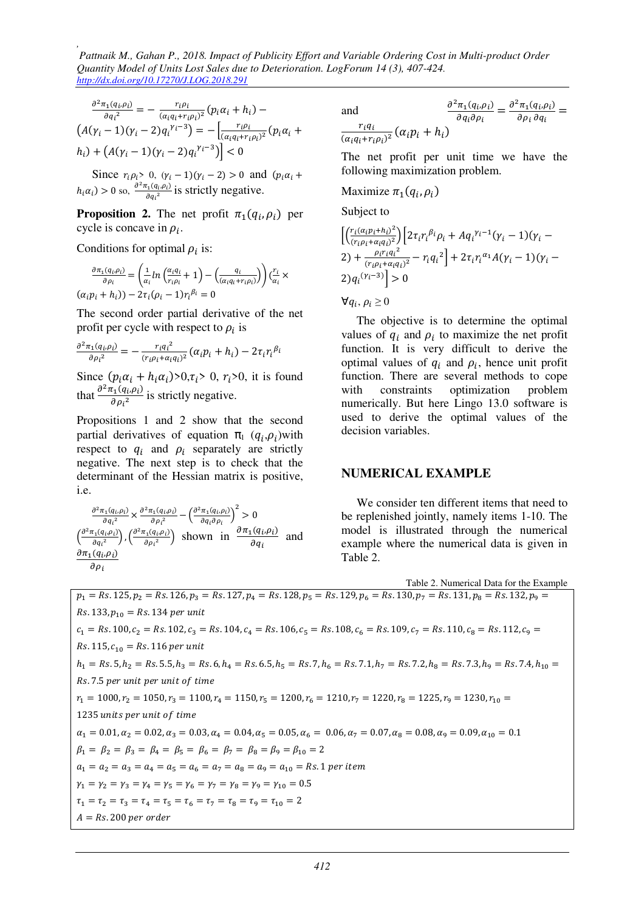$$
\frac{\partial^2 \pi_1(q_i, \rho_i)}{\partial q_i^2} = -\frac{r_i \rho_i}{(\alpha_i q_i + r_i \rho_i)^2} (p_i \alpha_i + h_i) -
$$
  

$$
(A(\gamma_i - 1)(\gamma_i - 2)q_i^{\gamma_i - 3}) = -\left[\frac{r_i \rho_i}{(\alpha_i q_i + r_i \rho_i)^2} (p_i \alpha_i + h_i) + (A(\gamma_i - 1)(\gamma_i - 2)q_i^{\gamma_i - 3})\right] < 0
$$

Since  $r_i \rho_i > 0$ ,  $(\gamma_i - 1)(\gamma_i - 2) > 0$  and  $(p_i \alpha_i +$  $h_i \alpha_i$ ) > 0 so,  $\frac{\partial^2 \pi_1(q_i, \rho_i)}{\partial a_i^2}$  $\frac{\partial f_1(q_i,\rho_i)}{\partial q_i^2}$  is strictly negative.

**Proposition 2.** The net profit  $\pi_1(q_i, \rho_i)$  per cycle is concave in  $\rho_i$ .

Conditions for optimal  $\rho_i$  is:

$$
\frac{\partial \pi_1(q_i, \rho_i)}{\partial \rho_i} = \left(\frac{1}{\alpha_i} \ln \left(\frac{\alpha_i q_i}{r_i \rho_i} + 1\right) - \left(\frac{q_i}{(\alpha_i q_i + r_i \rho_i)}\right)\right) \left(\frac{r_i}{\alpha_i}\right)
$$

$$
(\alpha_i p_i + h_i) - 2\tau_i(\rho_i - 1)r_i^{\beta_i} = 0
$$

The second order partial derivative of the net profit per cycle with respect to  $\rho_i$  is

$$
\frac{\partial^2 \pi_1(q_i,\rho_i)}{\partial \rho_i^2} = -\frac{r_i{q_i}^2}{(r_i\rho_i + \alpha_i q_i)^2} (\alpha_i p_i + h_i) - 2\tau_i r_i^{\beta_i}
$$

Since  $(p_i \alpha_i + h_i \alpha_i) > 0, \tau_i > 0, \tau_i > 0$ , it is found that  $\frac{\partial^2 \pi_1(q_i,\rho_i)}{\partial \rho_i^2}$  $\frac{\partial u_1(q_i, p_i)}{\partial p_i^2}$  is strictly negative.

Propositions 1 and 2 show that the second partial derivatives of equation  $\pi_1$  ( $q_i, \rho_i$ ) with respect to  $q_i$  and  $p_i$  separately are strictly negative. The next step is to check that the determinant of the Hessian matrix is positive, i.e.

$$
\frac{\frac{\partial^2 \pi_1(q_i, \rho_i)}{\partial q_i^2} \times \frac{\partial^2 \pi_1(q_i, \rho_i)}{\partial \rho_i^2} - \left(\frac{\partial^2 \pi_1(q_i, \rho_i)}{\partial q_i \partial \rho_i}\right)^2 > 0}{\left(\frac{\partial^2 \pi_1(q_i, \rho_i)}{\partial q_i^2}\right), \left(\frac{\partial^2 \pi_1(q_i, \rho_i)}{\partial \rho_i^2}\right)}
$$
 shown in 
$$
\frac{\frac{\partial \pi_1(q_i, \rho_i)}{\partial q_i}
$$
 and 
$$
\frac{\partial \pi_1(q_i, \rho_i)}{\partial \rho_i}
$$

and  
\n
$$
\frac{\partial^2 \pi_1(q_i, \rho_i)}{\partial q_i \partial \rho_i} = \frac{\partial^2 \pi_1(q_i, \rho_i)}{\partial \rho_i \partial q_i} = \frac{r_i q_i}{\langle \alpha_i q_i + r_i \rho_i \rangle^2} (\alpha_i p_i + h_i)
$$

The net profit per unit time we have the following maximization problem.

Maximize 
$$
\pi_1(q_i, \rho_i)
$$

Subject to

$$
\left[ \left( \frac{r_i (\alpha_i p_i + h_i)^2}{(r_i \rho_i + \alpha_i q_i)^2} \right) \left[ 2 \tau_i r_i^{\beta_i} \rho_i + A q_i^{\gamma_i - 1} (\gamma_i - 1) (\gamma_i - 2) + \frac{\rho_i r_i q_i^2}{(r_i \rho_i + \alpha_i q_i)^2} - r_i q_i^2 \right] + 2 \tau_i r_i^{\alpha_1} A (\gamma_i - 1) (\gamma_i - 2) q_i^{(\gamma_i - 3)} \right] > 0
$$

 $\forall q_i, \rho_i \geq 0$ 

The objective is to determine the optimal values of  $q_i$  and  $p_i$  to maximize the net profit function. It is very difficult to derive the optimal values of  $q_i$  and  $p_i$ , hence unit profit function. There are several methods to cope with constraints optimization problem numerically. But here Lingo 13.0 software is used to derive the optimal values of the decision variables.

#### **NUMERICAL EXAMPLE**

We consider ten different items that need to be replenished jointly, namely items 1-10. The model is illustrated through the numerical example where the numerical data is given in Table 2.

Table 2. Numerical Data for the Example  $p_1 = Rs. 125, p_2 = Rs. 126, p_3 = Rs. 127, p_4 = Rs. 128, p_5 = Rs. 129, p_6 = Rs. 130, p_7 = Rs. 131, p_8 = Rs. 132, p_9 =$  $Rs. 133, p_{10} = Rs. 134$  per unit  $c_1 = Rs. 100, c_2 = Rs. 102, c_3 = Rs. 104, c_4 = Rs. 106, c_5 = Rs. 108, c_6 = Rs. 109, c_7 = Rs. 110, c_8 = Rs. 112, c_9 =$  $Rs. 115, c_{10} = Rs. 116$  per unit  $h_1 = Rs. 5, h_2 = Rs. 5.5, h_3 = Rs. 6, h_4 = Rs. 6.5, h_5 = Rs. 7, h_6 = Rs. 7.1, h_7 = Rs. 7.2, h_8 = Rs. 7.3, h_9 = Rs. 7.4, h_{10} =$ Rs.7.5 per unit per unit of time  $r_1 = 1000, r_2 = 1050, r_3 = 1100, r_4 = 1150, r_5 = 1200, r_6 = 1210, r_7 = 1220, r_8 = 1225, r_9 = 1230, r_{10} = 1230, r_{11} = 1230, r_{12} = 1230, r_{13} = 1230, r_{14} = 1230, r_{15} = 1230, r_{16} = 1230, r_{17} = 1230, r_{18} = 1230, r_{19} = 1230, r_{10} = 123$ 1235 units per unit of time  $\alpha_1 = 0.01, \alpha_2 = 0.02, \alpha_3 = 0.03, \alpha_4 = 0.04, \alpha_5 = 0.05, \alpha_6 = 0.06, \alpha_7 = 0.07, \alpha_8 = 0.08, \alpha_9 = 0.09, \alpha_{10} = 0.1$  $\beta_1 = \beta_2 = \beta_3 = \beta_4 = \beta_5 = \beta_6 = \beta_7 = \beta_8 = \beta_9 = \beta_{10} = 2$  $a_1 = a_2 = a_3 = a_4 = a_5 = a_6 = a_7 = a_8 = a_9 = a_{10} = Rs.$  1 per item  $\gamma_1 = \gamma_2 = \gamma_3 = \gamma_4 = \gamma_5 = \gamma_6 = \gamma_7 = \gamma_8 = \gamma_9 = \gamma_{10} = 0.5$  $\tau_1 = \tau_2 = \tau_3 = \tau_4 = \tau_5 = \tau_6 = \tau_7 = \tau_8 = \tau_9 = \tau_{10} = 2$ A = Rs.200 per order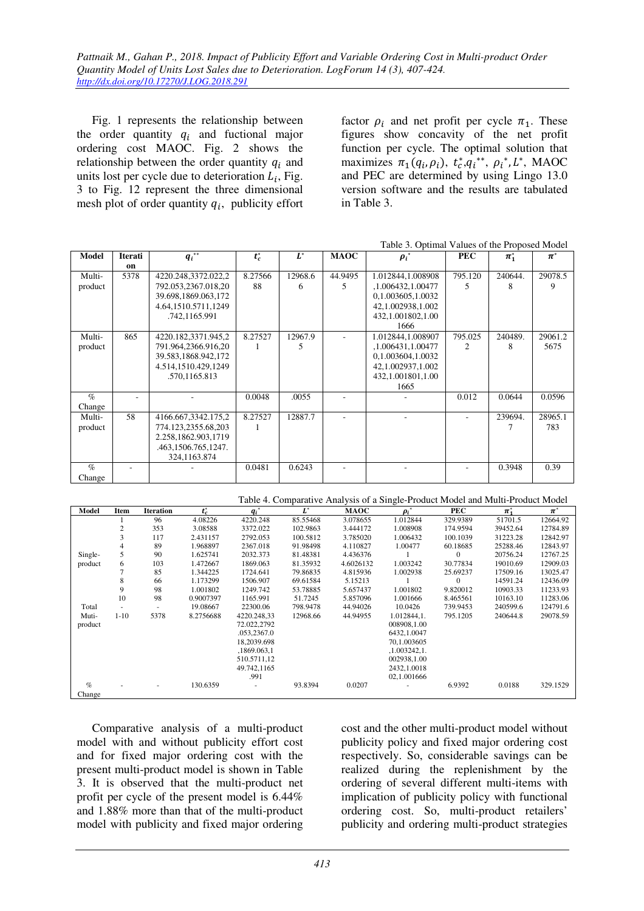Fig. 1 represents the relationship between the order quantity  $q_i$  and fuctional major ordering cost MAOC. Fig. 2 shows the relationship between the order quantity  $q_i$  and units lost per cycle due to deterioration  $L_i$ , Fig. 3 to Fig. 12 represent the three dimensional mesh plot of order quantity  $q_i$ , publicity effort

factor  $\rho_i$  and net profit per cycle  $\pi_1$ . These figures show concavity of the net profit function per cycle. The optimal solution that maximizes  $\pi_1(q_i, \rho_i)$ ,  $t_c^*, q_i^{**}, \rho_i^*, L^*,$  MAOC and PEC are determined by using Lingo 13.0 version software and the results are tabulated in Table 3.

|         |         |                     |         |         |             | Table 3. Optimal Values of the Proposed Model |            |         |                      |
|---------|---------|---------------------|---------|---------|-------------|-----------------------------------------------|------------|---------|----------------------|
| Model   | Iterati | $q_i^{**}$          | $t_c^*$ | $L^*$   | <b>MAOC</b> | $\boldsymbol{\rho_i}^*$                       | <b>PEC</b> | $\pi^*$ | $\boldsymbol{\pi}^*$ |
|         | on      |                     |         |         |             |                                               |            |         |                      |
| Multi-  | 5378    | 4220.248,3372.022,2 | 8.27566 | 12968.6 | 44.9495     | 1.012844,1.008908                             | 795.120    | 240644. | 29078.5              |
| product |         | 792.053,2367.018,20 | 88      | 6       | 5           | ,1.006432,1.00477                             | 5          | 8       | 9                    |
|         |         | 39.698,1869.063,172 |         |         |             | 0,1.003605,1.0032                             |            |         |                      |
|         |         | 4.64,1510.5711,1249 |         |         |             | 42, 1.002938, 1.002                           |            |         |                      |
|         |         | .742,1165.991       |         |         |             | 432,1.001802,1.00                             |            |         |                      |
|         |         |                     |         |         |             | 1666                                          |            |         |                      |
| Multi-  | 865     | 4220.182,3371.945,2 | 8.27527 | 12967.9 |             | 1.012844,1.008907                             | 795.025    | 240489. | 29061.2              |
| product |         | 791.964,2366.916,20 |         | 5       |             | ,1.006431,1.00477                             | 2          | 8       | 5675                 |
|         |         | 39.583,1868.942,172 |         |         |             | 0,1.003604,1.0032                             |            |         |                      |
|         |         | 4.514,1510.429,1249 |         |         |             | 42,1.002937,1.002                             |            |         |                      |
|         |         | .570,1165.813       |         |         |             | 432,1.001801,1.00                             |            |         |                      |
|         |         |                     |         |         |             | 1665                                          |            |         |                      |
| $\%$    |         |                     | 0.0048  | .0055   |             |                                               | 0.012      | 0.0644  | 0.0596               |
| Change  |         |                     |         |         |             |                                               |            |         |                      |
| Multi-  | 58      | 4166.667,3342.175,2 | 8.27527 | 12887.7 |             |                                               |            | 239694. | 28965.1              |
| product |         | 774.123,2355.68,203 |         |         |             |                                               |            |         | 783                  |
|         |         | 2.258,1862.903,1719 |         |         |             |                                               |            |         |                      |
|         |         | .463,1506.765,1247. |         |         |             |                                               |            |         |                      |
|         |         | 324,1163.874        |         |         |             |                                               |            |         |                      |
| $\%$    |         |                     | 0.0481  | 0.6243  |             |                                               |            | 0.3948  | 0.39                 |
| Change  |         |                     |         |         |             |                                               |            |         |                      |

Table 4. Comparative Analysis of a Single-Product Model and Multi-Product Model

| Model   | Item     | <b>Iteration</b> | $t_c^*$   | $q_i^*$                  | $L^*$    | <b>MAOC</b> | $\boldsymbol{\rho_i}^*$ | PEC      | $\pi_1^*$ | $\pi^*$  |
|---------|----------|------------------|-----------|--------------------------|----------|-------------|-------------------------|----------|-----------|----------|
|         |          | 96               | 4.08226   | 4220.248                 | 85.55468 | 3.078655    | 1.012844                | 329.9389 | 51701.5   | 12664.92 |
|         | 2        | 353              | 3.08588   | 3372.022                 | 102.9863 | 3.444172    | 1.008908                | 174.9594 | 39452.64  | 12784.89 |
|         | 3        | 117              | 2.431157  | 2792.053                 | 100.5812 | 3.785020    | 1.006432                | 100.1039 | 31223.28  | 12842.97 |
|         | 4        | 89               | 1.968897  | 2367.018                 | 91.98498 | 4.110827    | 1.00477                 | 60.18685 | 25288.46  | 12843.97 |
| Single- | 5        | 90               | 1.625741  | 2032.373                 | 81.48381 | 4.436376    |                         | $\Omega$ | 20756.24  | 12767.25 |
| product | 6        | 103              | 1.472667  | 1869.063                 | 81.35932 | 4.6026132   | 1.003242                | 30.77834 | 19010.69  | 12909.03 |
|         |          | 85               | 1.344225  | 1724.641                 | 79.86835 | 4.815936    | 1.002938                | 25.69237 | 17509.16  | 13025.47 |
|         | 8        | 66               | 1.173299  | 1506.907                 | 69.61584 | 5.15213     |                         | $\theta$ | 14591.24  | 12436.09 |
|         | 9        | 98               | 1.001802  | 1249.742                 | 53.78885 | 5.657437    | 1.001802                | 9.820012 | 10903.33  | 11233.93 |
|         | 10       | 98               | 0.9007397 | 1165.991                 | 51.7245  | 5.857096    | 1.001666                | 8.465561 | 10163.10  | 11283.06 |
| Total   |          |                  | 19.08667  | 22300.06                 | 798.9478 | 44.94026    | 10.0426                 | 739.9453 | 240599.6  | 124791.6 |
| Muti-   | $1 - 10$ | 5378             | 8.2756688 | 4220.248.33              | 12968.66 | 44.94955    | 1.012844,1.             | 795.1205 | 240644.8  | 29078.59 |
| product |          |                  |           | 72.022,2792              |          |             | 008908,1.00             |          |           |          |
|         |          |                  |           | .053,2367.0              |          |             | 6432,1.0047             |          |           |          |
|         |          |                  |           | 18.2039.698              |          |             | 70,1.003605             |          |           |          |
|         |          |                  |           | ,1869.063,1              |          |             | ,1.003242,1.            |          |           |          |
|         |          |                  |           | 510.5711,12              |          |             | 002938,1.00             |          |           |          |
|         |          |                  |           | 49.742,1165              |          |             | 2432,1.0018             |          |           |          |
|         |          |                  |           | .991                     |          |             | 02,1.001666             |          |           |          |
| $\%$    |          |                  | 130.6359  | $\overline{\phantom{a}}$ | 93.8394  | 0.0207      |                         | 6.9392   | 0.0188    | 329.1529 |
| Change  |          |                  |           |                          |          |             |                         |          |           |          |

Comparative analysis of a multi-product model with and without publicity effort cost and for fixed major ordering cost with the present multi-product model is shown in Table 3. It is observed that the multi-product net profit per cycle of the present model is 6.44% and 1.88% more than that of the multi-product model with publicity and fixed major ordering

cost and the other multi-product model without publicity policy and fixed major ordering cost respectively. So, considerable savings can be realized during the replenishment by the ordering of several different multi-items with implication of publicity policy with functional ordering cost. So, multi-product retailers' publicity and ordering multi-product strategies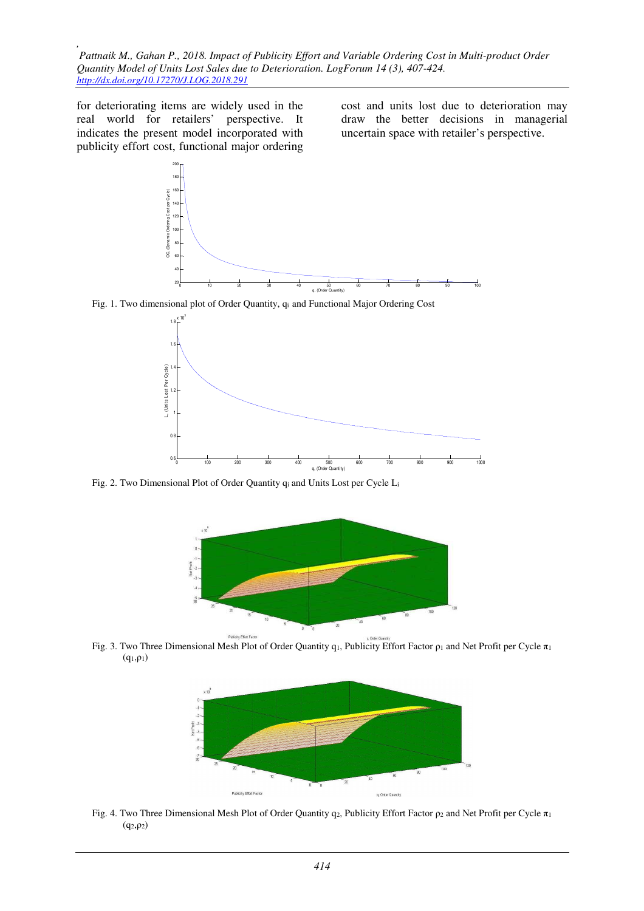for deteriorating items are widely used in the real world for retailers' perspective. It indicates the present model incorporated with publicity effort cost, functional major ordering cost and units lost due to deterioration may draw the better decisions in managerial uncertain space with retailer's perspective.



Fig. 1. Two dimensional plot of Order Quantity,  $q_i$  and Functional Major Ordering Cost



Fig. 2. Two Dimensional Plot of Order Quantity qi and Units Lost per Cycle L<sup>i</sup>



Fig. 3. Two Three Dimensional Mesh Plot of Order Quantity q1, Publicity Effort Factor  $\rho_1$  and Net Profit per Cycle  $\pi_1$  $(q_1, \rho_1)$ 



Fig. 4. Two Three Dimensional Mesh Plot of Order Quantity q<sub>2</sub>, Publicity Effort Factor  $\rho_2$  and Net Profit per Cycle  $\pi_1$  $(q_2, \rho_2)$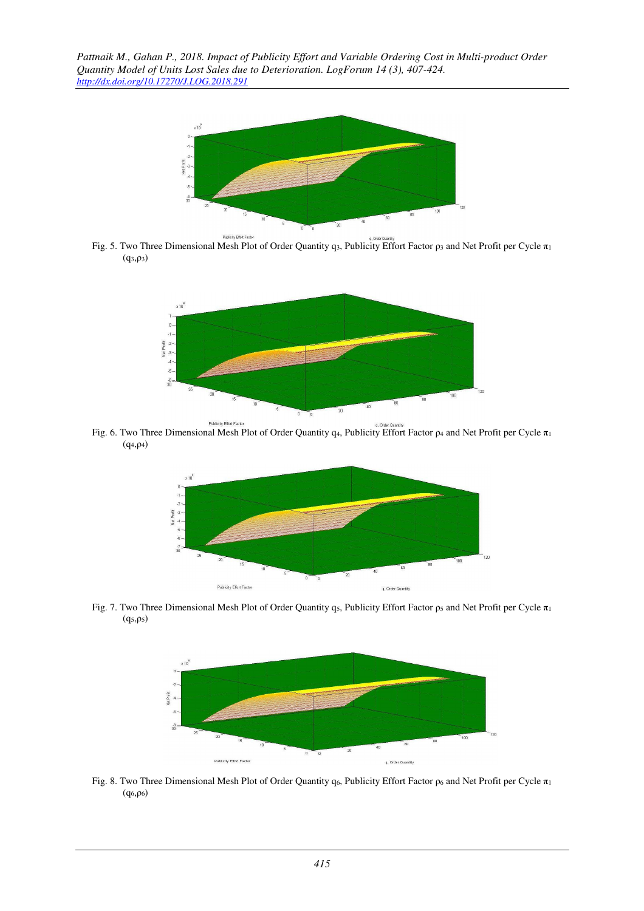

a. Order Qui Fig. 5. Two Three Dimensional Mesh Plot of Order Quantity q<sub>3</sub>, Publicity Effort Factor  $\rho_3$  and Net Profit per Cycle  $\pi_1$  $(q_3, \rho_3)$ 



Fublicity Effort Estate Action 1 Research Plot of Order Quantity q4, Publicity Effort Factor ρ<sub>4</sub> and Net Profit per Cycle π<sub>1</sub>  $(q_4, \rho_4)$ 



Fig. 7. Two Three Dimensional Mesh Plot of Order Quantity q5, Publicity Effort Factor  $\rho_5$  and Net Profit per Cycle  $\pi_1$  $(q_5, ρ_5)$ 



Fig. 8. Two Three Dimensional Mesh Plot of Order Quantity q6, Publicity Effort Factor  $\rho_6$  and Net Profit per Cycle  $\pi_1$  $(q<sub>6</sub>,ρ<sub>6</sub>)$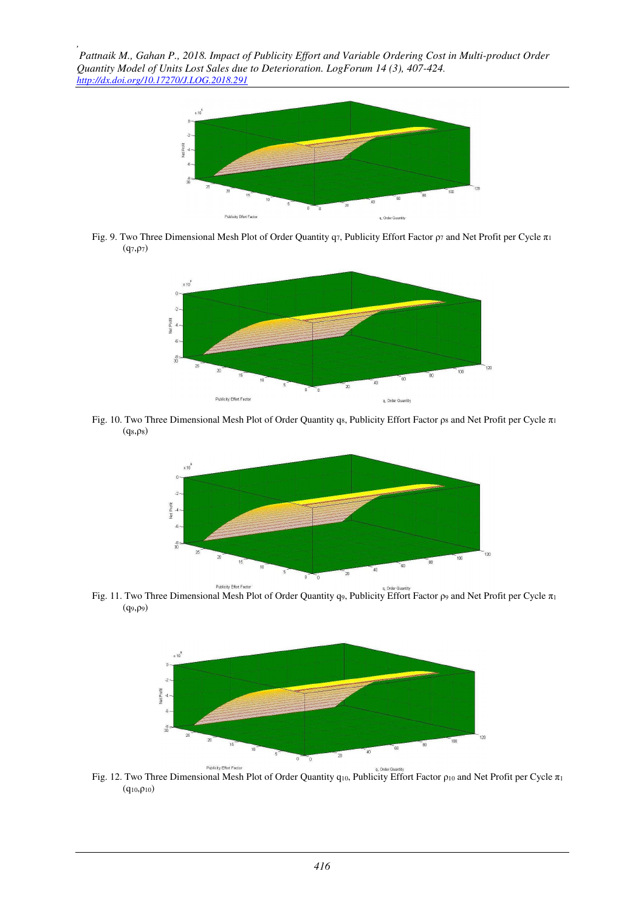*,* 



Fig. 9. Two Three Dimensional Mesh Plot of Order Quantity q7, Publicity Effort Factor  $\rho_7$  and Net Profit per Cycle  $\pi_1$  $(q_7, ρ_7)$ 



Fig. 10. Two Three Dimensional Mesh Plot of Order Quantity q<sub>8</sub>, Publicity Effort Factor  $\rho_8$  and Net Profit per Cycle  $\pi_1$  $(q_8, \rho_8)$ 



Fig. 11. Two Three Dimensional Mesh Plot of Order Quantity q9, Publicity Effort Factor ρ9 and Net Profit per Cycle π<sub>1</sub> (q9,ρ9)



Fig. 12. Two Three Dimensional Mesh Plot of Order Quantity q10, Publicity Effort Factor ρ10 and Net Profit per Cycle π1  $(q_{10}, \rho_{10})$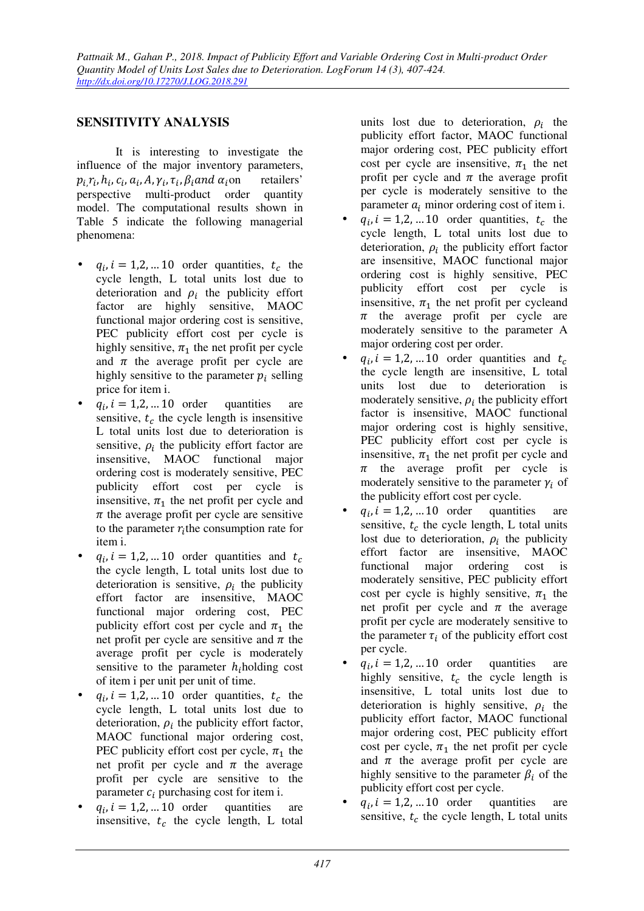## **SENSITIVITY ANALYSIS**

It is interesting to investigate the influence of the major inventory parameters,  $p_i$ , $r_i$ ,  $h_i$ ,  $c_i$ ,  $a_i$ ,  $A$ ,  $\gamma_i$ ,  $\tau_i$ ,  $\beta_i$  and  $\alpha_i$  on retailers' perspective multi-product order quantity model. The computational results shown in Table 5 indicate the following managerial phenomena:

- $q_i$ ,  $i = 1, 2, ... 10$  order quantities,  $t_c$  the cycle length, L total units lost due to deterioration and  $\rho_i$  the publicity effort factor are highly sensitive, MAOC functional major ordering cost is sensitive, PEC publicity effort cost per cycle is highly sensitive,  $\pi_1$  the net profit per cycle and  $\pi$  the average profit per cycle are highly sensitive to the parameter  $p_i$  selling price for item i.
- $q_i$ ,  $i = 1,2,...10$  order quantities are sensitive,  $t_c$  the cycle length is insensitive L total units lost due to deterioration is sensitive,  $\rho_i$  the publicity effort factor are insensitive, MAOC functional major ordering cost is moderately sensitive, PEC publicity effort cost per cycle is insensitive,  $\pi_1$  the net profit per cycle and  $\pi$  the average profit per cycle are sensitive to the parameter  $r_i$  the consumption rate for item i.
- $q_i$ ,  $i = 1, 2, ... 10$  order quantities and  $t_c$ the cycle length, L total units lost due to deterioration is sensitive,  $\rho_i$  the publicity effort factor are insensitive, MAOC functional major ordering cost, PEC publicity effort cost per cycle and  $\pi_1$  the net profit per cycle are sensitive and  $\pi$  the average profit per cycle is moderately sensitive to the parameter  $h_i$ holding cost of item i per unit per unit of time.
- $q_i$ ,  $i = 1, 2, ... 10$  order quantities,  $t_c$  the cycle length, L total units lost due to deterioration,  $\rho_i$  the publicity effort factor, MAOC functional major ordering cost, PEC publicity effort cost per cycle,  $\pi_1$  the net profit per cycle and  $\pi$  the average profit per cycle are sensitive to the parameter  $c_i$  purchasing cost for item i.
- $q_i$ ,  $i = 1,2,...10$  order quantities are insensitive,  $t_c$  the cycle length, L total

units lost due to deterioration,  $\rho_i$  the publicity effort factor, MAOC functional major ordering cost, PEC publicity effort cost per cycle are insensitive,  $\pi_1$  the net profit per cycle and  $\pi$  the average profit per cycle is moderately sensitive to the parameter  $a_i$  minor ordering cost of item i.

- $q_i$ ,  $i = 1, 2, ... 10$  order quantities,  $t_c$  the cycle length, L total units lost due to deterioration,  $\rho_i$  the publicity effort factor are insensitive, MAOC functional major ordering cost is highly sensitive, PEC publicity effort cost per cycle is insensitive,  $\pi_1$  the net profit per cycleand  $\pi$  the average profit per cycle are moderately sensitive to the parameter A major ordering cost per order.
- $q_i$ ,  $i = 1, 2, ... 10$  order quantities and  $t_c$ the cycle length are insensitive, L total units lost due to deterioration is moderately sensitive,  $\rho_i$  the publicity effort factor is insensitive, MAOC functional major ordering cost is highly sensitive, PEC publicity effort cost per cycle is insensitive,  $\pi_1$  the net profit per cycle and  $\pi$  the average profit per cycle is moderately sensitive to the parameter  $\gamma_i$  of the publicity effort cost per cycle.
- $q_i$ ,  $i = 1,2,...10$  order quantities are sensitive,  $t_c$  the cycle length, L total units lost due to deterioration,  $\rho_i$  the publicity effort factor are insensitive, MAOC functional major ordering cost is moderately sensitive, PEC publicity effort cost per cycle is highly sensitive,  $\pi_1$  the net profit per cycle and  $\pi$  the average profit per cycle are moderately sensitive to the parameter  $\tau_i$  of the publicity effort cost per cycle.
- $q_i$ ,  $i = 1,2,...10$  order quantities are highly sensitive,  $t_c$  the cycle length is insensitive, L total units lost due to deterioration is highly sensitive,  $\rho_i$  the publicity effort factor, MAOC functional major ordering cost, PEC publicity effort cost per cycle,  $\pi_1$  the net profit per cycle and  $\pi$  the average profit per cycle are highly sensitive to the parameter  $\beta_i$  of the publicity effort cost per cycle.
- $q_i$ ,  $i = 1,2,...10$  order quantities are sensitive,  $t_c$  the cycle length, L total units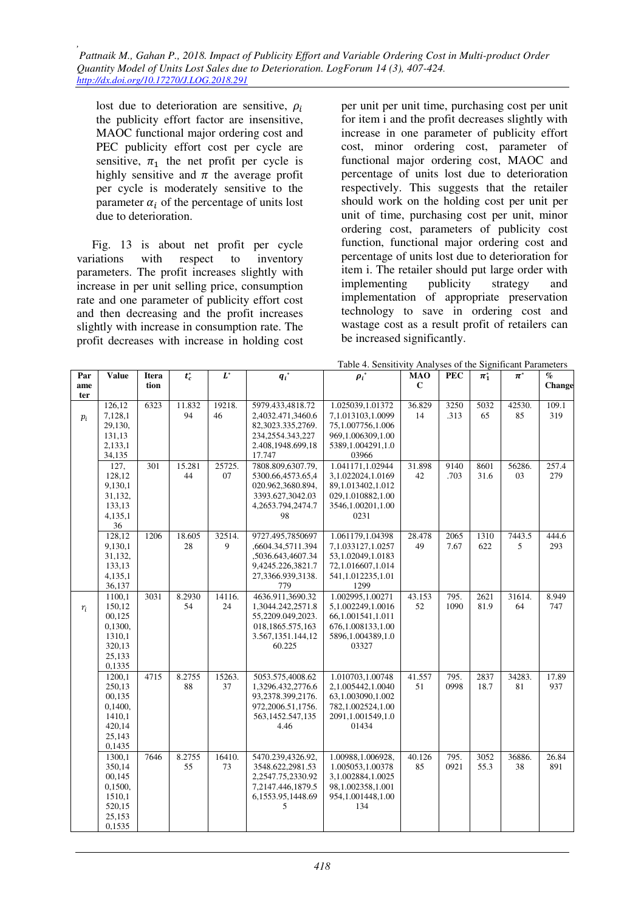lost due to deterioration are sensitive,  $\rho_i$ the publicity effort factor are insensitive, MAOC functional major ordering cost and PEC publicity effort cost per cycle are sensitive,  $\pi_1$  the net profit per cycle is highly sensitive and  $\pi$  the average profit per cycle is moderately sensitive to the parameter  $\alpha_i$  of the percentage of units lost due to deterioration.

Fig. 13 is about net profit per cycle variations with respect to inventory parameters. The profit increases slightly with increase in per unit selling price, consumption rate and one parameter of publicity effort cost and then decreasing and the profit increases slightly with increase in consumption rate. The profit decreases with increase in holding cost

per unit per unit time, purchasing cost per unit for item i and the profit decreases slightly with increase in one parameter of publicity effort cost, minor ordering cost, parameter of functional major ordering cost, MAOC and percentage of units lost due to deterioration respectively. This suggests that the retailer should work on the holding cost per unit per unit of time, purchasing cost per unit, minor ordering cost, parameters of publicity cost function, functional major ordering cost and percentage of units lost due to deterioration for item i. The retailer should put large order with implementing publicity strategy and implementation of appropriate preservation technology to save in ordering cost and wastage cost as a result profit of retailers can be increased significantly.

| Par   | <b>Value</b>      | Itera | $t_c^*$ | $L^*$  | $q_i^*$                               | $\boldsymbol{\rho_i}^*$                | <b>MAO</b>  | <b>PEC</b> | $\pi_1^*$ | $\pi^*$ | $\overline{\mathcal{C}}$ |
|-------|-------------------|-------|---------|--------|---------------------------------------|----------------------------------------|-------------|------------|-----------|---------|--------------------------|
| ame   |                   | tion  |         |        |                                       |                                        | $\mathbf C$ |            |           |         | Change                   |
| ter   | 126,12            | 6323  | 11.832  | 19218. | 5979.433,4818.72                      | 1.025039,1.01372                       | 36.829      | 3250       | 5032      | 42530.  | 109.1                    |
| $p_i$ | 7,128,1           |       | 94      | 46     | 2,4032.471,3460.6                     | 7,1.013103,1.0099                      | 14          | .313       | 65        | 85      | 319                      |
|       | 29,130,           |       |         |        | 82,3023.335,2769.                     | 75,1.007756,1.006                      |             |            |           |         |                          |
|       | 131,13            |       |         |        | 234, 2554. 343, 227                   | 969,1.006309,1.00                      |             |            |           |         |                          |
|       | 2,133,1           |       |         |        | 2.408,1948.699,18                     | 5389,1.004291,1.0                      |             |            |           |         |                          |
|       | 34,135            |       |         |        | 17.747                                | 03966                                  |             |            |           |         |                          |
|       | 127,              | 301   | 15.281  | 25725. | 7808.809,6307.79,                     | 1.041171,1.02944                       | 31.898      | 9140       | 8601      | 56286.  | $\overline{257.4}$       |
|       | 128,12            |       | 44      | 07     | 5300.66,4573.65,4                     | 3,1.022024,1.0169                      | 42          | .703       | 31.6      | 03      | 279                      |
|       | 9,130,1           |       |         |        | 020.962,3680.894,                     | 89,1.013402,1.012                      |             |            |           |         |                          |
|       | 31,132,<br>133,13 |       |         |        | 3393.627,3042.03<br>4,2653.794,2474.7 | 029,1.010882,1.00<br>3546,1.00201,1.00 |             |            |           |         |                          |
|       | 4,135,1           |       |         |        | 98                                    | 0231                                   |             |            |           |         |                          |
|       | 36                |       |         |        |                                       |                                        |             |            |           |         |                          |
|       | 128,12            | 1206  | 18.605  | 32514. | 9727.495,7850697                      | 1.061179,1.04398                       | 28.478      | 2065       | 1310      | 7443.5  | 444.6                    |
|       | 9,130,1           |       | 28      | 9      | ,6604.34,5711.394                     | 7,1.033127,1.0257                      | 49          | 7.67       | 622       | 5       | 293                      |
|       | 31,132,           |       |         |        | ,5036.643,4607.34                     | 53,1.02049,1.0183                      |             |            |           |         |                          |
|       | 133,13            |       |         |        | 9,4245.226,3821.7                     | 72,1.016607,1.014                      |             |            |           |         |                          |
|       | 4,135,1<br>36,137 |       |         |        | 27,3366.939,3138.<br>779              | 541,1.012235,1.01<br>1299              |             |            |           |         |                          |
|       | 1100,1            | 3031  | 8.2930  | 14116. | 4636.911,3690.32                      | 1.002995,1.00271                       | 43.153      | 795.       | 2621      | 31614.  | 8.949                    |
| $r_i$ | 150,12            |       | 54      | 24     | 1,3044.242,2571.8                     | 5,1.002249,1.0016                      | 52          | 1090       | 81.9      | 64      | 747                      |
|       | 00,125            |       |         |        | 55,2209.049,2023.                     | 66,1.001541,1.011                      |             |            |           |         |                          |
|       | 0,1300,           |       |         |        | 018,1865.575,163                      | 676.1.008133.1.00                      |             |            |           |         |                          |
|       | 1310,1            |       |         |        | 3.567,1351.144,12                     | 5896,1.004389,1.0                      |             |            |           |         |                          |
|       | 320,13            |       |         |        | 60.225                                | 03327                                  |             |            |           |         |                          |
|       | 25,133            |       |         |        |                                       |                                        |             |            |           |         |                          |
|       | 0,1335<br>1200.1  | 4715  | 8.2755  | 15263. | 5053.575,4008.62                      | 1.010703,1.00748                       | 41.557      | 795.       | 2837      | 34283.  | 17.89                    |
|       | 250,13            |       | 88      | 37     | 1,3296.432,2776.6                     | 2,1.005442,1.0040                      | 51          | 0998       | 18.7      | 81      | 937                      |
|       | 00,135            |       |         |        | 93,2378.399,2176.                     | 63,1.003090,1.002                      |             |            |           |         |                          |
|       | 0,1400,           |       |         |        | 972,2006.51,1756.                     | 782,1.002524,1.00                      |             |            |           |         |                          |
|       | 1410,1            |       |         |        | 563,1452.547,135                      | 2091,1.001549,1.0                      |             |            |           |         |                          |
|       | 420,14            |       |         |        | 4.46                                  | 01434                                  |             |            |           |         |                          |
|       | 25,143            |       |         |        |                                       |                                        |             |            |           |         |                          |
|       | 0,1435<br>1300,1  | 7646  | 8.2755  | 16410. | 5470.239,4326.92,                     | 1.00988,1.006928,                      | 40.126      | 795.       | 3052      | 36886.  | 26.84                    |
|       | 350,14            |       | 55      | 73     | 3548.622,2981.53                      | 1.005053,1.00378                       | 85          | 0921       | 55.3      | 38      | 891                      |
|       | 00,145            |       |         |        | 2,2547.75,2330.92                     | 3,1.002884,1.0025                      |             |            |           |         |                          |
|       | 0,1500,           |       |         |        | 7,2147.446,1879.5                     | 98,1.002358,1.001                      |             |            |           |         |                          |
|       | 1510,1            |       |         |        | 6,1553.95,1448.69                     | 954,1.001448,1.00                      |             |            |           |         |                          |
|       | 520,15            |       |         |        | 5                                     | 134                                    |             |            |           |         |                          |
|       | 25,153            |       |         |        |                                       |                                        |             |            |           |         |                          |
|       | 0,1535            |       |         |        |                                       |                                        |             |            |           |         |                          |

Table 4. Sensitivity Analyses of the Significant Parameters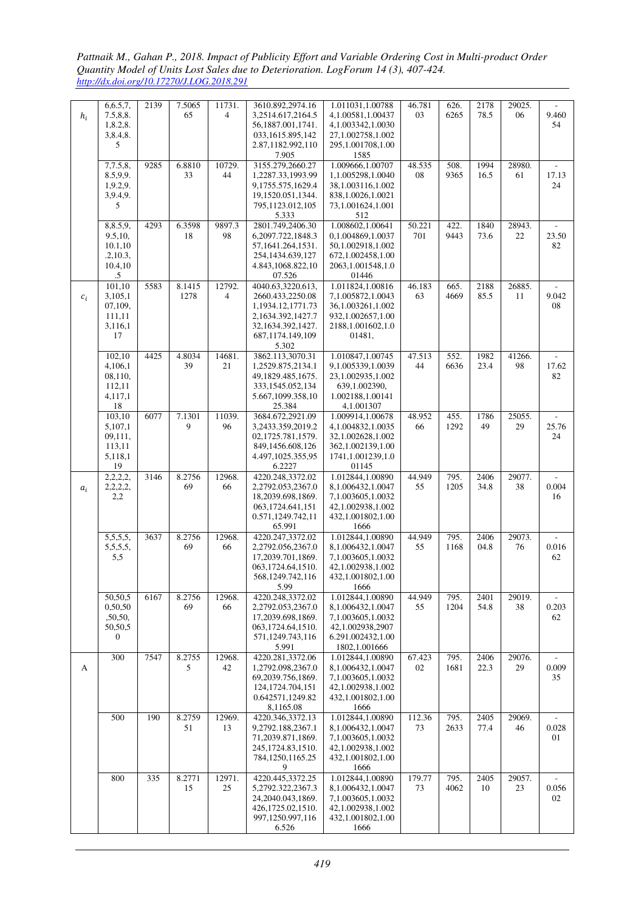*Pattnaik M., Gahan P., 2018. Impact of Publicity Effort and Variable Ordering Cost in Multi-product Order Quantity Model of Units Lost Sales due to Deterioration. LogForum 14 (3), 407-424. http://dx.doi.org/10.17270/J.LOG.2018.291* 

| $h_i$ | 6,6.5,7,<br>7.5,8.8.<br>1,8.2,8. | 2139 | 7.5065<br>65   | 11731.<br>4              | 3610.892,2974.16<br>3,2514.617,2164.5<br>56,1887.001,1741. | 1.011031,1.00788<br>4.1.00581.1.00437<br>4,1.003342,1.0030 | 46.781<br>03  | 626.<br>6265 | 2178<br>78.5 | 29025.<br>06 | 9.460<br>54                          |
|-------|----------------------------------|------|----------------|--------------------------|------------------------------------------------------------|------------------------------------------------------------|---------------|--------------|--------------|--------------|--------------------------------------|
|       | 3,8.4,8.<br>5                    |      |                |                          | 033,1615.895,142<br>2.87,1182.992,110                      | 27,1.002758,1.002<br>295,1.001708,1.00                     |               |              |              |              |                                      |
|       |                                  |      |                |                          | 7.905                                                      | 1585                                                       |               |              |              |              |                                      |
|       | 7,7.5,8,<br>8.5,9,9.             | 9285 | 6.8810<br>33   | 10729.<br>44             | 3155.279,2660.27<br>1,2287.33,1993.99                      | 1.009666,1.00707<br>1,1.005298,1.0040                      | 48.535<br>08  | 508.<br>9365 | 1994<br>16.5 | 28980.<br>61 | 17.13                                |
|       | 1,9.2,9.<br>3,9.4,9.             |      |                |                          | 9,1755.575,1629.4<br>19,1520.051,1344.                     | 38,1.003116,1.002<br>838,1.0026,1.0021                     |               |              |              |              | 24                                   |
|       | 5                                |      |                |                          | 795,1123.012,105<br>5.333                                  | 73,1.001624,1.001<br>512                                   |               |              |              |              |                                      |
|       | 8,8.5,9,<br>9.5,10,              | 4293 | 6.3598<br>18   | 9897.3<br>98             | 2801.749,2406.30<br>6,2097.722,1848.3                      | 1.008602,1.00641<br>0.1.004869.1.0037                      | 50.221<br>701 | 422.<br>9443 | 1840<br>73.6 | 28943.<br>22 | 23.50                                |
|       | 10.1,10<br>.2, 10.3,             |      |                |                          | 57,1641.264,1531.<br>254,1434.639,127                      | 50,1.002918,1.002<br>672,1.002458,1.00                     |               |              |              |              | 82                                   |
|       | 10.4,10<br>$.5\,$                |      |                |                          | 4.843,1068.822,10<br>07.526                                | 2063, 1.001548, 1.0<br>01446                               |               |              |              |              |                                      |
| $c_i$ | 101,10<br>3,105,1                | 5583 | 8.1415<br>1278 | 12792.<br>$\overline{4}$ | 4040.63,3220.613,<br>2660.433,2250.08                      | 1.011824,1.00816<br>7,1.005872,1.0043                      | 46.183<br>63  | 665.<br>4669 | 2188<br>85.5 | 26885.<br>11 | 9.042                                |
|       | 07,109,<br>111,11                |      |                |                          | 1,1934.12,1771.73<br>2,1634.392,1427.7                     | 36,1.003261,1.002<br>932,1.002657,1.00                     |               |              |              |              | 08                                   |
|       | 3,116,1<br>17                    |      |                |                          | 32.1634.392.1427.<br>687,1174.149,109                      | 2188,1.001602,1.0<br>01481,                                |               |              |              |              |                                      |
|       |                                  |      |                |                          | 5.302                                                      |                                                            |               |              |              |              |                                      |
|       | 102,10<br>4,106,1                | 4425 | 4.8034<br>39   | 14681.<br>21             | 3862.113,3070.31<br>1,2529.875,2134.1                      | 1.010847,1.00745<br>9,1.005339,1.0039                      | 47.513<br>44  | 552.<br>6636 | 1982<br>23.4 | 41266.<br>98 | 17.62                                |
|       | 08,110,<br>112,11                |      |                |                          | 49,1829.485,1675.<br>333,1545.052,134                      | 23,1.002935,1.002<br>639,1.002390,                         |               |              |              |              | 82                                   |
|       | 4,117,1<br>18                    |      |                |                          | 5.667,1099.358,10<br>25.384                                | 1.002188,1.00141<br>4,1.001307                             |               |              |              |              |                                      |
|       | 103,10                           | 6077 | 7.1301         | 11039.                   | 3684.672,2921.09                                           | 1.009914,1.00678                                           | 48.952        | 455.         | 1786         | 25055.       |                                      |
|       | 5,107,1<br>09,111,               |      | 9              | 96                       | 3,2433.359,2019.2<br>02,1725.781,1579.                     | 4,1.004832,1.0035<br>32,1.002628,1.002                     | 66            | 1292         | 49           | 29           | 25.76<br>24                          |
|       | 113,11                           |      |                |                          | 849,1456.608,126                                           | 362,1.002139,1.00                                          |               |              |              |              |                                      |
|       | 5,118,1<br>19                    |      |                |                          | 4.497,1025.355,95<br>6.2227                                | 1741, 1.001239, 1.0<br>01145                               |               |              |              |              |                                      |
|       | 2,2,2,2,<br>2,2,2,2,             | 3146 | 8.2756<br>69   | 12968.<br>66             | 4220.248,3372.02<br>2,2792.053,2367.0                      | 1.012844,1.00890<br>8,1.006432,1.0047                      | 44.949<br>55  | 795.<br>1205 | 2406<br>34.8 | 29077.<br>38 | 0.004                                |
| $a_i$ | 2,2                              |      |                |                          | 18,2039.698,1869.                                          | 7,1.003605,1.0032                                          |               |              |              |              | 16                                   |
|       |                                  |      |                |                          | 063,1724.641,151<br>0.571,1249.742,11                      | 42,1.002938,1.002<br>432,1.001802,1.00                     |               |              |              |              |                                      |
|       |                                  |      |                |                          | 65.991                                                     | 1666                                                       |               |              |              |              |                                      |
|       | 5,5,5,5,<br>5,5,5,5,             | 3637 | 8.2756<br>69   | 12968.<br>66             | 4220.247,3372.02<br>2,2792.056,2367.0                      | 1.012844,1.00890<br>8,1.006432,1.0047                      | 44.949<br>55  | 795.<br>1168 | 2406<br>04.8 | 29073.<br>76 | 0.016                                |
|       | 5,5                              |      |                |                          | 17,2039.701,1869.<br>063,1724.64,1510.                     | 7,1.003605,1.0032<br>42,1.002938,1.002                     |               |              |              |              | 62                                   |
|       |                                  |      |                |                          | 568,1249.742,116<br>5.99                                   | 432.1.001802.1.00<br>1666                                  |               |              |              |              |                                      |
|       | 50,50,5<br>0,50,50               | 6167 | 8.2756<br>69   | 12968.<br>66             | 4220.248.3372.02<br>2,2792.053,2367.0                      | 1.012844.1.00890<br>8,1.006432,1.0047                      | 44.949<br>55  | 795.<br>1204 | 2401<br>54.8 | 29019.<br>38 | $\mathcal{L}_{\mathcal{A}}$<br>0.203 |
|       | ,50,50,                          |      |                |                          | 17,2039.698,1869.                                          | 7,1.003605,1.0032                                          |               |              |              |              | 62                                   |
|       | 50,50,5<br>$\mathbf{0}$          |      |                |                          | 063,1724.64,1510.<br>571,1249.743,116                      | 42,1.002938,2907<br>6.291.002432,1.00                      |               |              |              |              |                                      |
|       |                                  |      |                |                          | 5.991                                                      | 1802, 1.001666                                             |               |              |              |              |                                      |
| A     | 300                              | 7547 | 8.2755<br>5    | 12968.<br>42             | 4220.281,3372.06<br>1,2792.098,2367.0                      | 1.012844,1.00890<br>8,1.006432,1.0047                      | 67.423<br>02  | 795.<br>1681 | 2406<br>22.3 | 29076.<br>29 | 0.009                                |
|       |                                  |      |                |                          | 69,2039.756,1869.<br>124, 1724. 704, 151                   | 7,1.003605,1.0032<br>42,1.002938,1.002                     |               |              |              |              | 35                                   |
|       |                                  |      |                |                          | 0.642571,1249.82<br>8,1165.08                              | 432,1.001802,1.00<br>1666                                  |               |              |              |              |                                      |
|       | 500                              | 190  | 8.2759         | 12969.                   | 4220.346,3372.13                                           | 1.012844,1.00890                                           | 112.36        | 795.         | 2405         | 29069.       |                                      |
|       |                                  |      | 51             | 13                       | 9,2792.188,2367.1<br>71,2039.871,1869.                     | 8,1.006432,1.0047<br>7,1.003605,1.0032                     | 73            | 2633         | 77.4         | 46           | 0.028<br>01                          |
|       |                                  |      |                |                          | 245, 1724. 83, 1510.<br>784,1250,1165.25                   | 42,1.002938,1.002<br>432,1.001802,1.00                     |               |              |              |              |                                      |
|       |                                  |      |                |                          | 9                                                          | 1666                                                       |               |              |              |              |                                      |
|       | 800                              | 335  | 8.2771<br>15   | 12971.<br>25             | 4220.445,3372.25<br>5,2792.322,2367.3                      | 1.012844,1.00890<br>8,1.006432,1.0047                      | 179.77<br>73  | 795.<br>4062 | 2405<br>10   | 29057.<br>23 | 0.056                                |
|       |                                  |      |                |                          | 24, 2040.043, 1869.<br>426,1725.02,1510.                   | 7,1.003605,1.0032<br>42,1.002938,1.002                     |               |              |              |              | 02                                   |
|       |                                  |      |                |                          | 997,1250.997,116                                           | 432,1.001802,1.00                                          |               |              |              |              |                                      |
|       |                                  |      |                |                          | 6.526                                                      | 1666                                                       |               |              |              |              |                                      |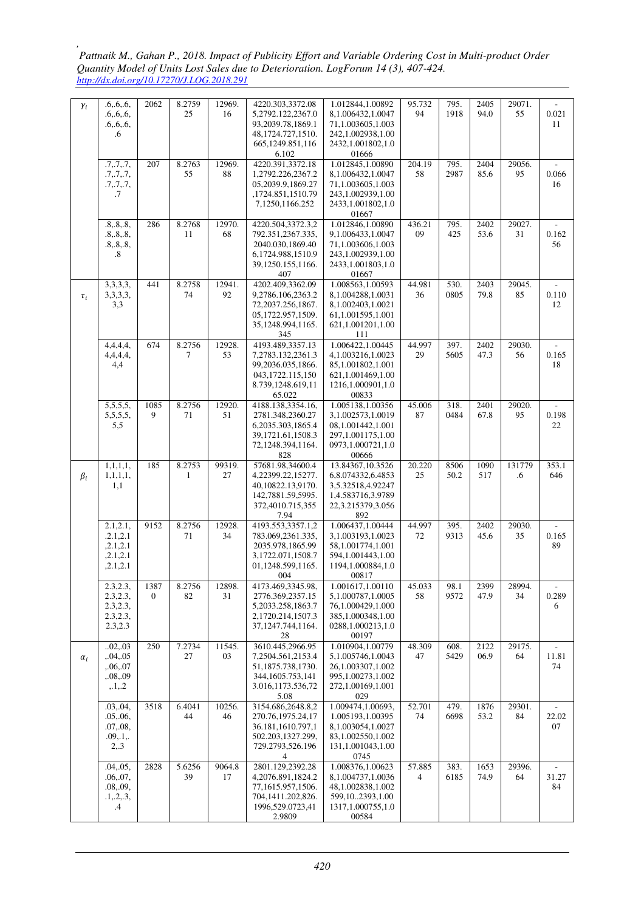| $\gamma_i$ | .6.6.6.           | 2062                   | 8.2759       | 12969. | 4220.303,3372.08           | 1.012844,1.00892           | 95.732 | 795. | 2405 | 29071. |        |
|------------|-------------------|------------------------|--------------|--------|----------------------------|----------------------------|--------|------|------|--------|--------|
|            | .6, .6, .6,       |                        | 25           | 16     | 5,2792.122,2367.0          | 8,1.006432,1.0047          | 94     | 1918 | 94.0 | 55     | 0.021  |
|            | .6, .6, .6,       |                        |              |        | 93,2039.78,1869.1          | 71,1.003605,1.003          |        |      |      |        | 11     |
|            | .6                |                        |              |        | 48, 1724. 727, 1510.       | 242,1.002938,1.00          |        |      |      |        |        |
|            |                   |                        |              |        | 665,1249.851,116           | 2432,1.001802,1.0          |        |      |      |        |        |
|            |                   |                        |              |        | 6.102                      | 01666                      |        |      |      |        |        |
|            | .7, .7, .7,       | 207                    | 8.2763       | 12969. | 4220.391,3372.18           | 1.012845,1.00890           | 204.19 | 795. | 2404 | 29056. |        |
|            | .7, .7, .7,       |                        | 55           | 88     | 1,2792.226,2367.2          | 8,1.006432,1.0047          | 58     | 2987 | 85.6 | 95     | 0.066  |
|            | .7, .7, .7,       |                        |              |        | 05,2039.9,1869.27          | 71,1.003605,1.003          |        |      |      |        | 16     |
|            | .7                |                        |              |        | ,1724.851,1510.79          | 243,1.002939,1.00          |        |      |      |        |        |
|            |                   |                        |              |        | 7,1250,1166.252            | 2433,1.001802,1.0          |        |      |      |        |        |
|            |                   |                        |              |        |                            | 01667                      |        |      |      |        |        |
|            | .8, .8, .8,       | 286                    | 8.2768       | 12970. | 4220.504,3372.3,2          | 1.012846,1.00890           | 436.21 | 795. | 2402 | 29027. |        |
|            |                   |                        | 11           | 68     | 792.351,2367.335,          | 9,1.006433,1.0047          | 09     | 425  | 53.6 | 31     | 0.162  |
|            | .8, .8, .8,       |                        |              |        |                            |                            |        |      |      |        |        |
|            | .8, .8, .8,       |                        |              |        | 2040.030,1869.40           | 71,1.003606,1.003          |        |      |      |        | 56     |
|            | $\boldsymbol{.8}$ |                        |              |        | 6,1724.988,1510.9          | 243,1.002939,1.00          |        |      |      |        |        |
|            |                   |                        |              |        | 39,1250.155,1166.          | 2433,1.001803,1.0          |        |      |      |        |        |
|            |                   |                        |              |        | 407                        | 01667                      |        |      |      |        |        |
|            | 3,3,3,3,          | 441                    | 8.2758       | 12941. | 4202.409,3362.09           | 1.008563,1.00593           | 44.981 | 530. | 2403 | 29045. |        |
| $\tau_i$   | 3,3,3,3,          |                        | 74           | 92     | 9,2786.106,2363.2          | 8,1.004288,1.0031          | 36     | 0805 | 79.8 | 85     | 0.110  |
|            | 3,3               |                        |              |        | 72,2037.256,1867.          | 8,1.002403,1.0021          |        |      |      |        | 12     |
|            |                   |                        |              |        | 05,1722.957,1509.          | 61,1.001595,1.001          |        |      |      |        |        |
|            |                   |                        |              |        | 35,1248.994,1165.          | 621,1.001201,1.00          |        |      |      |        |        |
|            |                   |                        |              |        | 345                        | 111                        |        |      |      |        |        |
|            | 4,4,4,4,          | 674                    | 8.2756       | 12928. | 4193.489,3357.13           | 1.006422,1.00445           | 44.997 | 397. | 2402 | 29030. |        |
|            | 4,4,4,4,          |                        | 7            | 53     | 7,2783.132,2361.3          | 4.1.003216.1.0023          | 29     | 5605 | 47.3 | 56     | 0.165  |
|            | 4,4               |                        |              |        | 99,2036.035,1866.          | 85,1.001802,1.001          |        |      |      |        | 18     |
|            |                   |                        |              |        | 043,1722.115,150           | 621,1.001469,1.00          |        |      |      |        |        |
|            |                   |                        |              |        | 8.739,1248.619,11          | 1216,1.000901,1.0          |        |      |      |        |        |
|            |                   |                        |              |        | 65.022                     | 00833                      |        |      |      |        |        |
|            | 5,5,5,5,          | 1085                   | 8.2756       | 12920. | 4188.138,3354.16,          | 1.005138.1.00356           | 45.006 | 318. | 2401 | 29020. |        |
|            | 5,5,5,5,          | 9                      | 71           | 51     | 2781.348,2360.27           | 3,1.002573,1.0019          | 87     | 0484 | 67.8 | 95     | 0.198  |
|            | 5,5               |                        |              |        | 6,2035.303,1865.4          | 08,1.001442,1.001          |        |      |      |        | 22     |
|            |                   |                        |              |        | 39,1721.61,1508.3          | 297,1.001175,1.00          |        |      |      |        |        |
|            |                   |                        |              |        | 72,1248.394,1164.          | 0973,1.000721,1.0          |        |      |      |        |        |
|            |                   |                        |              |        | 828                        | 00666                      |        |      |      |        |        |
|            | 1, 1, 1, 1,       | 185                    | 8.2753       | 99319. | 57681.98,34600.4           | 13.84367,10.3526           | 20.220 | 8506 | 1090 | 131779 | 353.1  |
| $\beta_i$  | 1, 1, 1, 1, 1,    |                        | $\mathbf{1}$ | 27     | 4,22399.22,15277.          | 6,8.074332,6.4853          | 25     | 50.2 | 517  | .6     | 646    |
|            | 1,1               |                        |              |        | 40,10822.13,9170.          | 3,5.32518,4.92247          |        |      |      |        |        |
|            |                   |                        |              |        | 142,7881.59,5995.          | 1,4.583716,3.9789          |        |      |      |        |        |
|            |                   |                        |              |        |                            |                            |        |      |      |        |        |
|            |                   |                        |              |        |                            |                            |        |      |      |        |        |
|            |                   |                        |              |        | 372,4010.715,355           | 22,3.215379,3.056          |        |      |      |        |        |
|            |                   |                        |              |        | 7.94                       | 892                        |        |      |      | 29030. |        |
|            | 2.1, 2.1,         | 9152                   | 8.2756       | 12928. | 4193.553,3357.1,2          | 1.006437,1.00444           | 44.997 | 395. | 2402 |        |        |
|            | .2.1.2.1          |                        | 71           | 34     | 783.069,2361.335,          | 3,1.003193,1.0023          | 72     | 9313 | 45.6 | 35     | 0.165  |
|            | , 2.1, 2.1        |                        |              |        | 2035.978,1865.99           | 58,1.001774,1.001          |        |      |      |        | 89     |
|            | , 2.1, 2.1        |                        |              |        | 3,1722.071,1508.7          | 594,1.001443,1.00          |        |      |      |        |        |
|            | , 2.1, 2.1        |                        |              |        | 01,1248.599,1165.<br>004   | 1194,1.000884,1.0<br>00817 |        |      |      |        |        |
|            |                   |                        |              |        |                            |                            |        |      |      |        | $\sim$ |
|            | 2.3, 2.3,         | 1387<br>$\overline{0}$ | 8.2756       | 12898. | 4173.469,3345.98,          | 1.001617,1.00110           | 45.033 | 98.1 | 2399 | 28994. |        |
|            | 2.3, 2.3,         |                        | 82           | 31     | 2776.369,2357.15           | 5,1.000787,1.0005          | 58     | 9572 | 47.9 | 34     | 0.289  |
|            | 2.3, 2.3,         |                        |              |        | 5,2033.258,1863.7          | 76,1.000429,1.000          |        |      |      |        | 6      |
|            | 2.3, 2.3,         |                        |              |        | 2,1720.214,1507.3          | 385,1.000348,1.00          |        |      |      |        |        |
|            | 2.3,2.3           |                        |              |        | 37, 1247. 744, 1164.       | 0288,1.000213,1.0          |        |      |      |        |        |
|            |                   |                        |              |        | 28                         | 00197                      |        |      |      |        |        |
|            | .02, .03          | 250                    | 7.2734       | 11545. | 3610.445,2966.95           | 1.010904,1.00779           | 48.309 | 608. | 2122 | 29175. |        |
| $\alpha_i$ | , .04, .05        |                        | 27           | 03     | 7,2504.561,2153.4          | 5,1.005746,1.0043          | 47     | 5429 | 06.9 | 64     | 11.81  |
|            | , .06, .07        |                        |              |        | 51,1875.738,1730.          | 26,1.003307,1.002          |        |      |      |        | 74     |
|            | .08.09            |                        |              |        | 344,1605.753,141           | 995,1.00273,1.002          |        |      |      |        |        |
|            | , 1, 2            |                        |              |        | 3.016,1173.536,72          | 272,1.00169,1.001          |        |      |      |        |        |
|            |                   |                        |              |        | 5.08                       | 029                        |        |      |      |        |        |
|            | .03, .04,         | 3518                   | 6.4041       | 10256. | 3154.686,2648.8,2          | 1.009474,1.00693,          | 52.701 | 479. | 1876 | 29301. |        |
|            | .05, .06,         |                        | 44           | 46     | 270.76,1975.24,17          | 1.005193,1.00395           | 74     | 6698 | 53.2 | 84     | 22.02  |
|            | .07, .08,         |                        |              |        | 36.181,1610.797,1          | 8,1.003054,1.0027          |        |      |      |        | 07     |
|            | .09, .1, .        |                        |              |        | 502.203,1327.299,          | 83,1.002550,1.002          |        |      |      |        |        |
|            | 2,3               |                        |              |        | 729.2793,526.196           | 131,1.001043,1.00          |        |      |      |        |        |
|            |                   |                        |              |        | $\overline{4}$             | 0745                       |        |      |      |        |        |
|            | .04, .05,         | 2828                   | 5.6256       | 9064.8 | 2801.129,2392.28           | 1.008376,1.00623           | 57.885 | 383. | 1653 | 29396. |        |
|            | .06, .07,         |                        | 39           | 17     | 4,2076.891,1824.2          | 8,1.004737,1.0036          | 4      | 6185 | 74.9 | 64     | 31.27  |
|            | .08, .09,         |                        |              |        | 77,1615.957,1506.          | 48,1.002838,1.002          |        |      |      |        | 84     |
|            | .1, .2, .3,       |                        |              |        | 704,1411.202,826.          | 599,102393,1.00            |        |      |      |        |        |
|            | .4                |                        |              |        | 1996,529.0723,41<br>2.9809 | 1317,1.000755,1.0<br>00584 |        |      |      |        |        |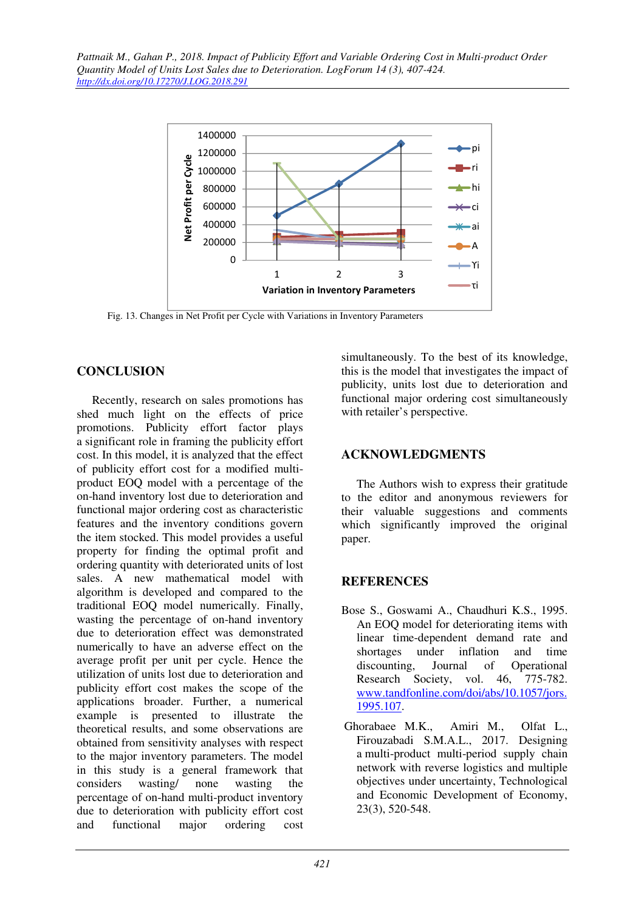

Fig. 13. Changes in Net Profit per Cycle with Variations in Inventory Parameters

## **CONCLUSION**

Recently, research on sales promotions has shed much light on the effects of price promotions. Publicity effort factor plays a significant role in framing the publicity effort cost. In this model, it is analyzed that the effect of publicity effort cost for a modified multiproduct EOQ model with a percentage of the on-hand inventory lost due to deterioration and functional major ordering cost as characteristic features and the inventory conditions govern the item stocked. This model provides a useful property for finding the optimal profit and ordering quantity with deteriorated units of lost sales. A new mathematical model with algorithm is developed and compared to the traditional EOQ model numerically. Finally, wasting the percentage of on-hand inventory due to deterioration effect was demonstrated numerically to have an adverse effect on the average profit per unit per cycle. Hence the utilization of units lost due to deterioration and publicity effort cost makes the scope of the applications broader. Further, a numerical example is presented to illustrate the theoretical results, and some observations are obtained from sensitivity analyses with respect to the major inventory parameters. The model in this study is a general framework that considers wasting/ none wasting the percentage of on-hand multi-product inventory due to deterioration with publicity effort cost and functional major ordering cost

simultaneously. To the best of its knowledge, this is the model that investigates the impact of publicity, units lost due to deterioration and functional major ordering cost simultaneously with retailer's perspective.

## **ACKNOWLEDGMENTS**

The Authors wish to express their gratitude to the editor and anonymous reviewers for their valuable suggestions and comments which significantly improved the original paper.

## **REFERENCES**

- Bose S., Goswami A., Chaudhuri K.S., 1995. An EOQ model for deteriorating items with linear time-dependent demand rate and shortages under inflation and time discounting, Journal of Operational Research Society, vol. 46, 775-782. www.tandfonline.com/doi/abs/10.1057/jors. 1995.107.
- Ghorabaee M.K., Amiri M., Olfat L., Firouzabadi S.M.A.L., 2017. Designing a multi-product multi-period supply chain network with reverse logistics and multiple objectives under uncertainty, Technological and Economic Development of Economy, 23(3), 520-548.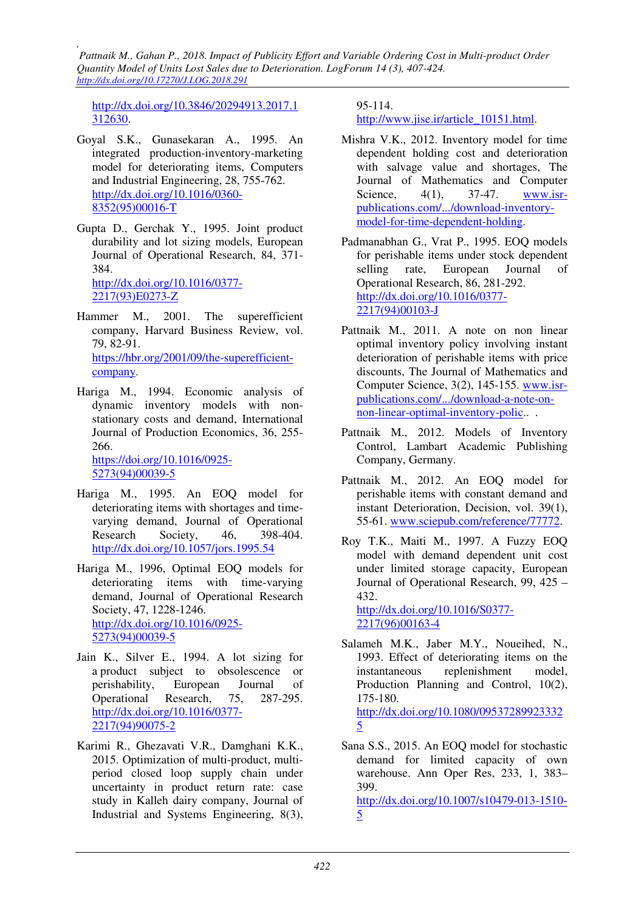http://dx.doi.org/10.3846/20294913.2017.1 312630.

- Goyal S.K., Gunasekaran A., 1995. An integrated production-inventory-marketing model for deteriorating items, Computers and Industrial Engineering, 28, 755-762. http://dx.doi.org/10.1016/0360- 8352(95)00016-T
- Gupta D., Gerchak Y., 1995. Joint product durability and lot sizing models, European Journal of Operational Research, 84, 371- 384. http://dx.doi.org/10.1016/0377- 2217(93)E0273-Z
- Hammer M., 2001. The superefficient company, Harvard Business Review, vol. 79, 82-91. https://hbr.org/2001/09/the-superefficientcompany.
- Hariga M., 1994. Economic analysis of dynamic inventory models with nonstationary costs and demand, International Journal of Production Economics, 36, 255- 266.

https://doi.org/10.1016/0925- 5273(94)00039-5

- Hariga M., 1995. An EOQ model for deteriorating items with shortages and timevarying demand, Journal of Operational Research Society, 46, 398-404. http://dx.doi.org/10.1057/jors.1995.54
- Hariga M., 1996, Optimal EOQ models for deteriorating items with time-varying demand, Journal of Operational Research Society, 47, 1228-1246. http://dx.doi.org/10.1016/0925- 5273(94)00039-5
- Jain K., Silver E., 1994. A lot sizing for a product subject to obsolescence or perishability, European Journal of Operational Research, 75, 287-295. http://dx.doi.org/10.1016/0377- 2217(94)90075-2
- Karimi R., Ghezavati V.R., Damghani K.K., 2015. Optimization of multi-product, multiperiod closed loop supply chain under uncertainty in product return rate: case study in Kalleh dairy company, Journal of Industrial and Systems Engineering, 8(3),

95-114. http://www.jise.ir/article\_10151.html.

- Mishra V.K., 2012. Inventory model for time dependent holding cost and deterioration with salvage value and shortages, The Journal of Mathematics and Computer Science, 4(1), 37-47. www.isrpublications.com/.../download-inventorymodel-for-time-dependent-holding.
- Padmanabhan G., Vrat P., 1995. EOQ models for perishable items under stock dependent selling rate, European Journal of Operational Research, 86, 281-292. http://dx.doi.org/10.1016/0377- 2217(94)00103-J
- Pattnaik M., 2011. A note on non linear optimal inventory policy involving instant deterioration of perishable items with price discounts, The Journal of Mathematics and Computer Science, 3(2), 145-155. www.isrpublications.com/.../download-a-note-onnon-linear-optimal-inventory-polic.. .
- Pattnaik M., 2012. Models of Inventory Control, Lambart Academic Publishing Company, Germany.
- Pattnaik M., 2012. An EOQ model for perishable items with constant demand and instant Deterioration, Decision, vol. 39(1), 55-61. www.sciepub.com/reference/77772.
- Roy T.K., Maiti M., 1997. A Fuzzy EOQ model with demand dependent unit cost under limited storage capacity, European Journal of Operational Research, 99, 425 – 432.

http://dx.doi.org/10.1016/S0377- 2217(96)00163-4

- Salameh M.K., Jaber M.Y., Noueihed, N., 1993. Effect of deteriorating items on the instantaneous replenishment model, Production Planning and Control, 10(2), 175-180. http://dx.doi.org/10.1080/09537289923332 5
- Sana S.S., 2015. An EOQ model for stochastic demand for limited capacity of own warehouse. Ann Oper Res, 233, 1, 383– 399.

http://dx.doi.org/10.1007/s10479-013-1510- 5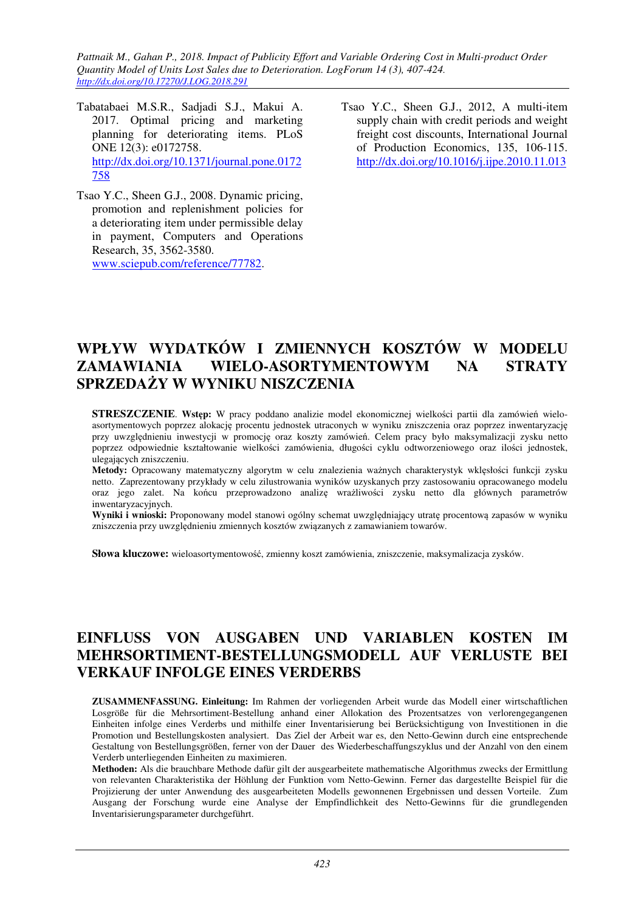- Tabatabaei M.S.R., Sadjadi S.J., Makui A. 2017. Optimal pricing and marketing planning for deteriorating items. PLoS ONE 12(3): e0172758. http://dx.doi.org/10.1371/journal.pone.0172 758
- Tsao Y.C., Sheen G.J., 2008. Dynamic pricing, promotion and replenishment policies for a deteriorating item under permissible delay in payment, Computers and Operations Research, 35, 3562-3580. www.sciepub.com/reference/77782.
- Tsao Y.C., Sheen G.J., 2012, A multi-item supply chain with credit periods and weight freight cost discounts, International Journal of Production Economics, 135, 106-115. http://dx.doi.org/10.1016/j.ijpe.2010.11.013

# **WPŁYW WYDATKÓW I ZMIENNYCH KOSZTÓW W MODELU ZAMAWIANIA WIELO-ASORTYMENTOWYM NA STRATY SPRZEDAŻY W WYNIKU NISZCZENIA**

**STRESZCZENIE**. **Wstęp:** W pracy poddano analizie model ekonomicznej wielkości partii dla zamówień wieloasortymentowych poprzez alokację procentu jednostek utraconych w wyniku zniszczenia oraz poprzez inwentaryzację przy uwzględnieniu inwestycji w promocję oraz koszty zamówień. Celem pracy było maksymalizacji zysku netto poprzez odpowiednie kształtowanie wielkości zamówienia, długości cyklu odtworzeniowego oraz ilości jednostek, ulegających zniszczeniu.

**Metody:** Opracowany matematyczny algorytm w celu znalezienia ważnych charakterystyk wklęsłości funkcji zysku netto. Zaprezentowany przykłady w celu zilustrowania wyników uzyskanych przy zastosowaniu opracowanego modelu oraz jego zalet. Na końcu przeprowadzono analizę wrażliwości zysku netto dla głównych parametrów inwentaryzacyjnych.

**Wyniki i wnioski:** Proponowany model stanowi ogólny schemat uwzględniający utratę procentową zapasów w wyniku zniszczenia przy uwzględnieniu zmiennych kosztów związanych z zamawianiem towarów.

**Słowa kluczowe:** wieloasortymentowość, zmienny koszt zamówienia, zniszczenie, maksymalizacja zysków.

# **EINFLUSS VON AUSGABEN UND VARIABLEN KOSTEN IM MEHRSORTIMENT-BESTELLUNGSMODELL AUF VERLUSTE BEI VERKAUF INFOLGE EINES VERDERBS**

**ZUSAMMENFASSUNG. Einleitung:** Im Rahmen der vorliegenden Arbeit wurde das Modell einer wirtschaftlichen Losgröße für die Mehrsortiment-Bestellung anhand einer Allokation des Prozentsatzes von verlorengegangenen Einheiten infolge eines Verderbs und mithilfe einer Inventarisierung bei Berücksichtigung von Investitionen in die Promotion und Bestellungskosten analysiert. Das Ziel der Arbeit war es, den Netto-Gewinn durch eine entsprechende Gestaltung von Bestellungsgrößen, ferner von der Dauer des Wiederbeschaffungszyklus und der Anzahl von den einem Verderb unterliegenden Einheiten zu maximieren.

**Methoden:** Als die brauchbare Methode dafür gilt der ausgearbeitete mathematische Algorithmus zwecks der Ermittlung von relevanten Charakteristika der Höhlung der Funktion vom Netto-Gewinn. Ferner das dargestellte Beispiel für die Projizierung der unter Anwendung des ausgearbeiteten Modells gewonnenen Ergebnissen und dessen Vorteile. Zum Ausgang der Forschung wurde eine Analyse der Empfindlichkeit des Netto-Gewinns für die grundlegenden Inventarisierungsparameter durchgeführt.